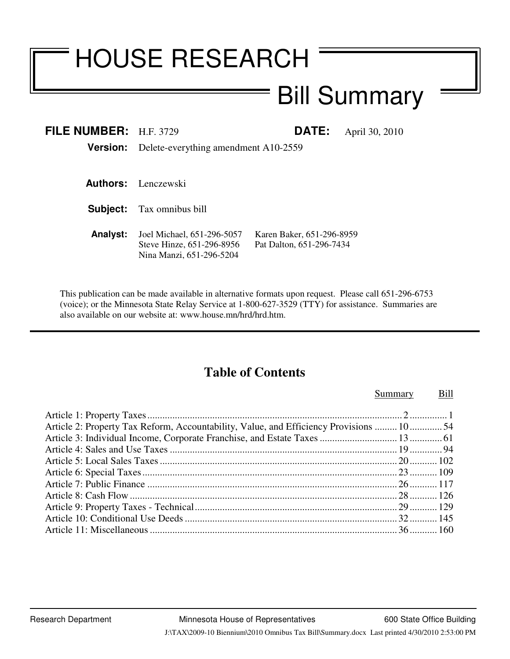# HOUSE RESEARCH

# Bill Summary

| FILE NUMBER: $H.F. 3729$ |                                                                                     | <b>DATE:</b>                                          | April 30, 2010 |
|--------------------------|-------------------------------------------------------------------------------------|-------------------------------------------------------|----------------|
|                          | <b>Version:</b> Delete-everything amendment A10-2559                                |                                                       |                |
|                          |                                                                                     |                                                       |                |
|                          | <b>Authors:</b> Lenczewski                                                          |                                                       |                |
|                          | <b>Subject:</b> Tax omnibus bill                                                    |                                                       |                |
| <b>Analyst:</b>          | Joel Michael, 651-296-5057<br>Steve Hinze, 651-296-8956<br>Nina Manzi, 651-296-5204 | Karen Baker, 651-296-8959<br>Pat Dalton, 651-296-7434 |                |

This publication can be made available in alternative formats upon request. Please call 651-296-6753 (voice); or the Minnesota State Relay Service at 1-800-627-3529 (TTY) for assistance. Summaries are also available on our website at: www.house.mn/hrd/hrd.htm.

# **Table of Contents**

#### Summary Bill

| Article 2: Property Tax Reform, Accountability, Value, and Efficiency Provisions  10 54 |  |
|-----------------------------------------------------------------------------------------|--|
|                                                                                         |  |
|                                                                                         |  |
|                                                                                         |  |
|                                                                                         |  |
|                                                                                         |  |
|                                                                                         |  |
|                                                                                         |  |
|                                                                                         |  |
|                                                                                         |  |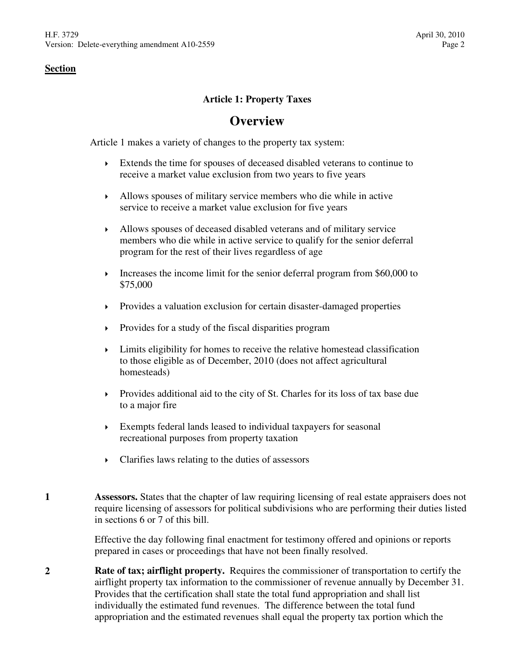# **Article 1: Property Taxes**

# **Overview**

Article 1 makes a variety of changes to the property tax system:

- Extends the time for spouses of deceased disabled veterans to continue to receive a market value exclusion from two years to five years
- Allows spouses of military service members who die while in active service to receive a market value exclusion for five years
- Allows spouses of deceased disabled veterans and of military service members who die while in active service to qualify for the senior deferral program for the rest of their lives regardless of age
- Increases the income limit for the senior deferral program from  $$60,000$  to \$75,000
- Provides a valuation exclusion for certain disaster-damaged properties
- $\triangleright$  Provides for a study of the fiscal disparities program
- $\blacktriangleright$  Limits eligibility for homes to receive the relative homestead classification to those eligible as of December, 2010 (does not affect agricultural homesteads)
- Provides additional aid to the city of St. Charles for its loss of tax base due to a major fire
- Exempts federal lands leased to individual taxpayers for seasonal recreational purposes from property taxation
- Clarifies laws relating to the duties of assessors
- **1 Assessors.** States that the chapter of law requiring licensing of real estate appraisers does not require licensing of assessors for political subdivisions who are performing their duties listed in sections 6 or 7 of this bill.

Effective the day following final enactment for testimony offered and opinions or reports prepared in cases or proceedings that have not been finally resolved.

**2 Rate of tax; airflight property.** Requires the commissioner of transportation to certify the airflight property tax information to the commissioner of revenue annually by December 31. Provides that the certification shall state the total fund appropriation and shall list individually the estimated fund revenues. The difference between the total fund appropriation and the estimated revenues shall equal the property tax portion which the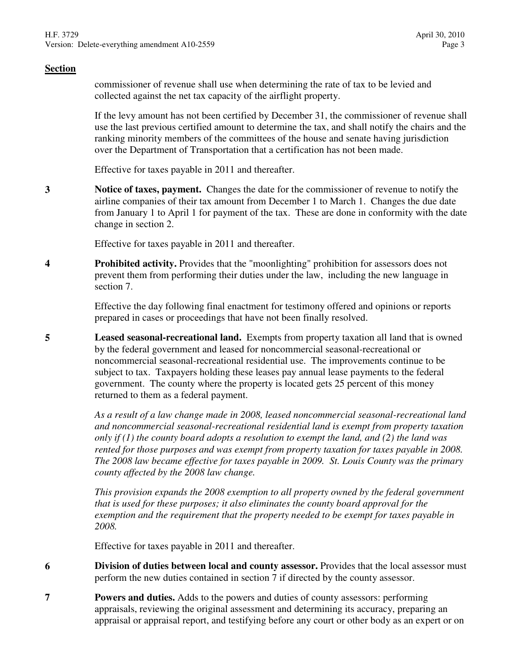commissioner of revenue shall use when determining the rate of tax to be levied and collected against the net tax capacity of the airflight property.

If the levy amount has not been certified by December 31, the commissioner of revenue shall use the last previous certified amount to determine the tax, and shall notify the chairs and the ranking minority members of the committees of the house and senate having jurisdiction over the Department of Transportation that a certification has not been made.

Effective for taxes payable in 2011 and thereafter.

**3 Notice of taxes, payment.** Changes the date for the commissioner of revenue to notify the airline companies of their tax amount from December 1 to March 1. Changes the due date from January 1 to April 1 for payment of the tax. These are done in conformity with the date change in section 2.

Effective for taxes payable in 2011 and thereafter.

**4 Prohibited activity.** Provides that the "moonlighting" prohibition for assessors does not prevent them from performing their duties under the law, including the new language in section 7.

> Effective the day following final enactment for testimony offered and opinions or reports prepared in cases or proceedings that have not been finally resolved.

**5 Leased seasonal-recreational land.** Exempts from property taxation all land that is owned by the federal government and leased for noncommercial seasonal-recreational or noncommercial seasonal-recreational residential use. The improvements continue to be subject to tax. Taxpayers holding these leases pay annual lease payments to the federal government. The county where the property is located gets 25 percent of this money returned to them as a federal payment.

> *As a result of a law change made in 2008, leased noncommercial seasonal-recreational land and noncommercial seasonal-recreational residential land is exempt from property taxation only if (1) the county board adopts a resolution to exempt the land, and (2) the land was rented for those purposes and was exempt from property taxation for taxes payable in 2008. The 2008 law became effective for taxes payable in 2009. St. Louis County was the primary county affected by the 2008 law change.*

> *This provision expands the 2008 exemption to all property owned by the federal government that is used for these purposes; it also eliminates the county board approval for the exemption and the requirement that the property needed to be exempt for taxes payable in 2008.*

Effective for taxes payable in 2011 and thereafter.

- **6 Division of duties between local and county assessor.** Provides that the local assessor must perform the new duties contained in section 7 if directed by the county assessor.
- **7 Powers and duties.** Adds to the powers and duties of county assessors: performing appraisals, reviewing the original assessment and determining its accuracy, preparing an appraisal or appraisal report, and testifying before any court or other body as an expert or on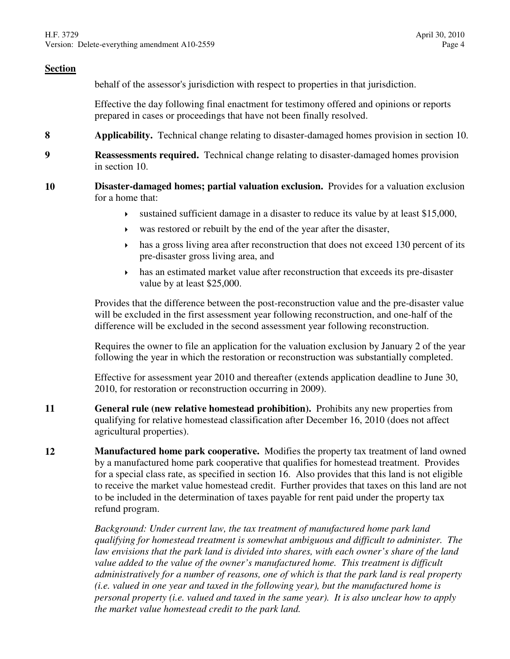behalf of the assessor's jurisdiction with respect to properties in that jurisdiction.

Effective the day following final enactment for testimony offered and opinions or reports prepared in cases or proceedings that have not been finally resolved.

- **8 Applicability.** Technical change relating to disaster-damaged homes provision in section 10.
- **9 Reassessments required.** Technical change relating to disaster-damaged homes provision in section 10.
- **10 Disaster-damaged homes; partial valuation exclusion.** Provides for a valuation exclusion for a home that:
	- sustained sufficient damage in a disaster to reduce its value by at least \$15,000,
	- was restored or rebuilt by the end of the year after the disaster,
	- has a gross living area after reconstruction that does not exceed 130 percent of its pre-disaster gross living area, and
	- has an estimated market value after reconstruction that exceeds its pre-disaster value by at least \$25,000.

Provides that the difference between the post-reconstruction value and the pre-disaster value will be excluded in the first assessment year following reconstruction, and one-half of the difference will be excluded in the second assessment year following reconstruction.

Requires the owner to file an application for the valuation exclusion by January 2 of the year following the year in which the restoration or reconstruction was substantially completed.

Effective for assessment year 2010 and thereafter (extends application deadline to June 30, 2010, for restoration or reconstruction occurring in 2009).

- **11 General rule (new relative homestead prohibition).** Prohibits any new properties from qualifying for relative homestead classification after December 16, 2010 (does not affect agricultural properties).
- **12 Manufactured home park cooperative.** Modifies the property tax treatment of land owned by a manufactured home park cooperative that qualifies for homestead treatment. Provides for a special class rate, as specified in section 16. Also provides that this land is not eligible to receive the market value homestead credit. Further provides that taxes on this land are not to be included in the determination of taxes payable for rent paid under the property tax refund program.

*Background: Under current law, the tax treatment of manufactured home park land qualifying for homestead treatment is somewhat ambiguous and difficult to administer. The law envisions that the park land is divided into shares, with each owner's share of the land*  value added to the value of the owner's manufactured home. This treatment is difficult *administratively for a number of reasons, one of which is that the park land is real property (i.e. valued in one year and taxed in the following year), but the manufactured home is personal property (i.e. valued and taxed in the same year). It is also unclear how to apply the market value homestead credit to the park land.*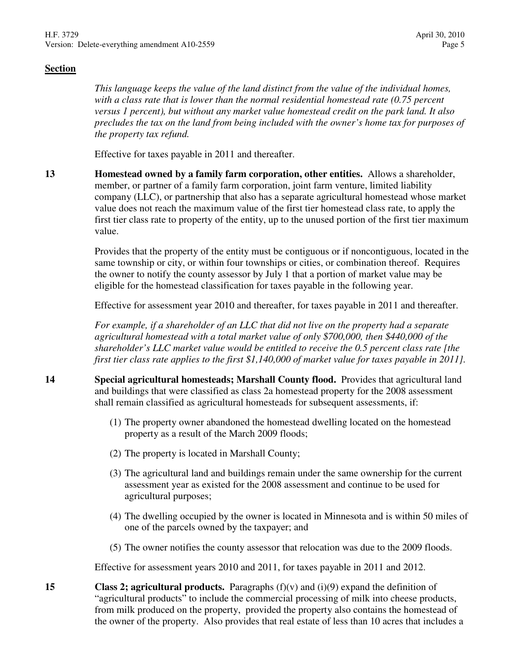*This language keeps the value of the land distinct from the value of the individual homes, with a class rate that is lower than the normal residential homestead rate (0.75 percent versus 1 percent), but without any market value homestead credit on the park land. It also precludes the tax on the land from being included with the owner's home tax for purposes of the property tax refund.* 

Effective for taxes payable in 2011 and thereafter.

**13 Homestead owned by a family farm corporation, other entities.** Allows a shareholder, member, or partner of a family farm corporation, joint farm venture, limited liability company (LLC), or partnership that also has a separate agricultural homestead whose market value does not reach the maximum value of the first tier homestead class rate, to apply the first tier class rate to property of the entity, up to the unused portion of the first tier maximum value.

> Provides that the property of the entity must be contiguous or if noncontiguous, located in the same township or city, or within four townships or cities, or combination thereof. Requires the owner to notify the county assessor by July 1 that a portion of market value may be eligible for the homestead classification for taxes payable in the following year.

Effective for assessment year 2010 and thereafter, for taxes payable in 2011 and thereafter.

*For example, if a shareholder of an LLC that did not live on the property had a separate agricultural homestead with a total market value of only \$700,000, then \$440,000 of the shareholder's LLC market value would be entitled to receive the 0.5 percent class rate [the first tier class rate applies to the first \$1,140,000 of market value for taxes payable in 2011].*

- **14 Special agricultural homesteads; Marshall County flood.** Provides that agricultural land and buildings that were classified as class 2a homestead property for the 2008 assessment shall remain classified as agricultural homesteads for subsequent assessments, if:
	- (1) The property owner abandoned the homestead dwelling located on the homestead property as a result of the March 2009 floods;
	- (2) The property is located in Marshall County;
	- (3) The agricultural land and buildings remain under the same ownership for the current assessment year as existed for the 2008 assessment and continue to be used for agricultural purposes;
	- (4) The dwelling occupied by the owner is located in Minnesota and is within 50 miles of one of the parcels owned by the taxpayer; and
	- (5) The owner notifies the county assessor that relocation was due to the 2009 floods.

Effective for assessment years 2010 and 2011, for taxes payable in 2011 and 2012.

**15 Class 2; agricultural products.** Paragraphs (f)(v) and (i)(9) expand the definition of "agricultural products" to include the commercial processing of milk into cheese products, from milk produced on the property, provided the property also contains the homestead of the owner of the property. Also provides that real estate of less than 10 acres that includes a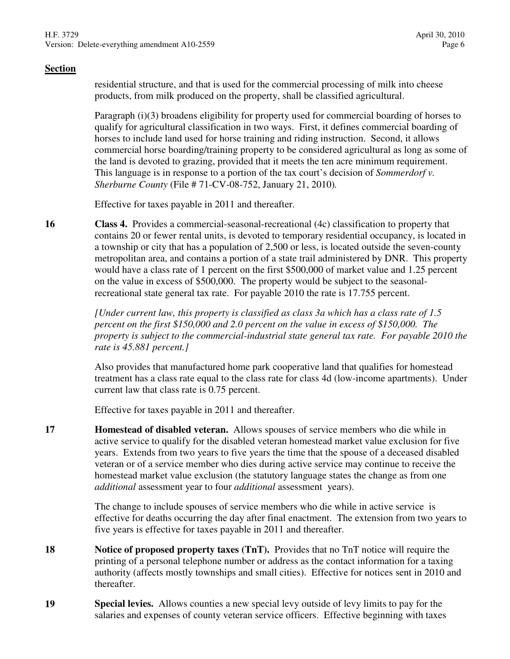residential structure, and that is used for the commercial processing of milk into cheese products, from milk produced on the property, shall be classified agricultural.

Paragraph (i)(3) broadens eligibility for property used for commercial boarding of horses to qualify for agricultural classification in two ways. First, it defines commercial boarding of horses to include land used for horse training and riding instruction. Second, it allows commercial horse boarding/training property to be considered agricultural as long as some of the land is devoted to grazing, provided that it meets the ten acre minimum requirement. This language is in response to a portion of the tax court's decision of *Sommerdorf v. Sherburne County* (File # 71-CV-08-752, January 21, 2010)*.*

Effective for taxes payable in 2011 and thereafter.

**16 Class 4.** Provides a commercial-seasonal-recreational (4c) classification to property that contains 20 or fewer rental units, is devoted to temporary residential occupancy, is located in a township or city that has a population of 2,500 or less, is located outside the seven-county metropolitan area, and contains a portion of a state trail administered by DNR. This property would have a class rate of 1 percent on the first \$500,000 of market value and 1.25 percent on the value in excess of \$500,000. The property would be subject to the seasonalrecreational state general tax rate. For payable 2010 the rate is 17.755 percent.

> *[Under current law, this property is classified as class 3a which has a class rate of 1.5 percent on the first \$150,000 and 2.0 percent on the value in excess of \$150,000. The property is subject to the commercial-industrial state general tax rate. For payable 2010 the rate is 45.881 percent.]*

> Also provides that manufactured home park cooperative land that qualifies for homestead treatment has a class rate equal to the class rate for class 4d (low-income apartments). Under current law that class rate is 0.75 percent.

Effective for taxes payable in 2011 and thereafter.

**17 Homestead of disabled veteran.** Allows spouses of service members who die while in active service to qualify for the disabled veteran homestead market value exclusion for five years. Extends from two years to five years the time that the spouse of a deceased disabled veteran or of a service member who dies during active service may continue to receive the homestead market value exclusion (the statutory language states the change as from one *additional* assessment year to four *additional* assessment years).

> The change to include spouses of service members who die while in active service is effective for deaths occurring the day after final enactment. The extension from two years to five years is effective for taxes payable in 2011 and thereafter.

- **18 Notice of proposed property taxes (TnT).** Provides that no TnT notice will require the printing of a personal telephone number or address as the contact information for a taxing authority (affects mostly townships and small cities). Effective for notices sent in 2010 and thereafter.
- **19 Special levies.** Allows counties a new special levy outside of levy limits to pay for the salaries and expenses of county veteran service officers. Effective beginning with taxes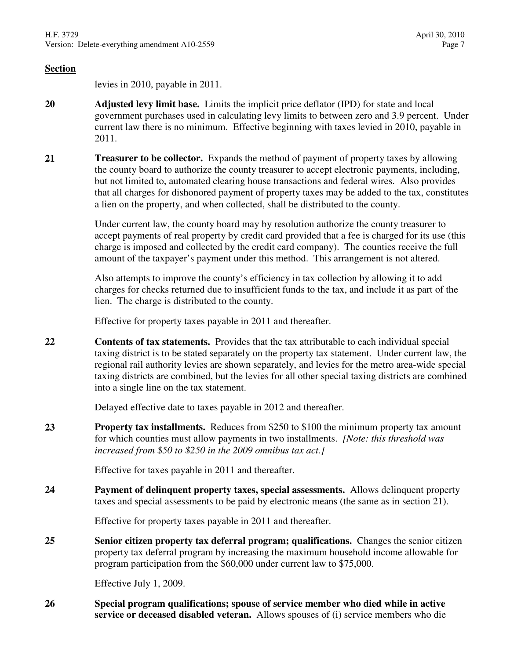levies in 2010, payable in 2011.

- **20 Adjusted levy limit base.** Limits the implicit price deflator (IPD) for state and local government purchases used in calculating levy limits to between zero and 3.9 percent. Under current law there is no minimum. Effective beginning with taxes levied in 2010, payable in 2011.
- **21 Treasurer to be collector.** Expands the method of payment of property taxes by allowing the county board to authorize the county treasurer to accept electronic payments, including, but not limited to, automated clearing house transactions and federal wires. Also provides that all charges for dishonored payment of property taxes may be added to the tax, constitutes a lien on the property, and when collected, shall be distributed to the county.

Under current law, the county board may by resolution authorize the county treasurer to accept payments of real property by credit card provided that a fee is charged for its use (this charge is imposed and collected by the credit card company). The counties receive the full amount of the taxpayer's payment under this method. This arrangement is not altered.

Also attempts to improve the county's efficiency in tax collection by allowing it to add charges for checks returned due to insufficient funds to the tax, and include it as part of the lien. The charge is distributed to the county.

Effective for property taxes payable in 2011 and thereafter.

**22 Contents of tax statements.** Provides that the tax attributable to each individual special taxing district is to be stated separately on the property tax statement. Under current law, the regional rail authority levies are shown separately, and levies for the metro area-wide special taxing districts are combined, but the levies for all other special taxing districts are combined into a single line on the tax statement.

Delayed effective date to taxes payable in 2012 and thereafter.

**23 Property tax installments.** Reduces from \$250 to \$100 the minimum property tax amount for which counties must allow payments in two installments. *[Note: this threshold was increased from \$50 to \$250 in the 2009 omnibus tax act.]*

Effective for taxes payable in 2011 and thereafter.

**24 Payment of delinquent property taxes, special assessments.** Allows delinquent property taxes and special assessments to be paid by electronic means (the same as in section 21).

Effective for property taxes payable in 2011 and thereafter.

**25 Senior citizen property tax deferral program; qualifications.** Changes the senior citizen property tax deferral program by increasing the maximum household income allowable for program participation from the \$60,000 under current law to \$75,000.

Effective July 1, 2009.

**26 Special program qualifications; spouse of service member who died while in active service or deceased disabled veteran.** Allows spouses of (i) service members who die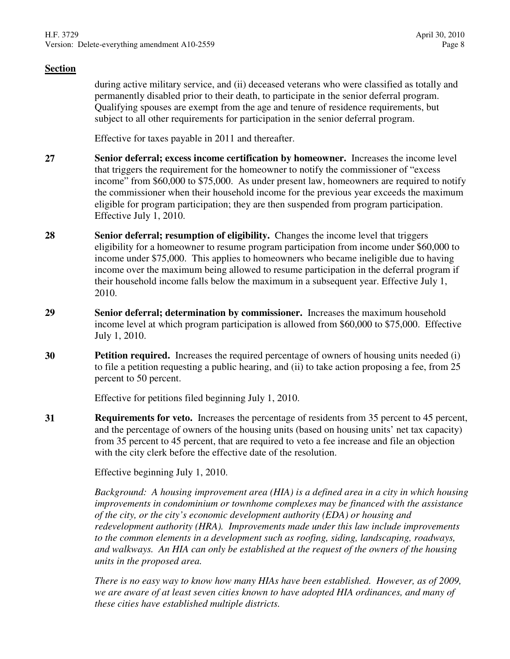during active military service, and (ii) deceased veterans who were classified as totally and permanently disabled prior to their death, to participate in the senior deferral program. Qualifying spouses are exempt from the age and tenure of residence requirements, but subject to all other requirements for participation in the senior deferral program.

Effective for taxes payable in 2011 and thereafter.

- **27 Senior deferral; excess income certification by homeowner.** Increases the income level that triggers the requirement for the homeowner to notify the commissioner of "excess income" from \$60,000 to \$75,000. As under present law, homeowners are required to notify the commissioner when their household income for the previous year exceeds the maximum eligible for program participation; they are then suspended from program participation. Effective July 1, 2010.
- **28 Senior deferral; resumption of eligibility.** Changes the income level that triggers eligibility for a homeowner to resume program participation from income under \$60,000 to income under \$75,000. This applies to homeowners who became ineligible due to having income over the maximum being allowed to resume participation in the deferral program if their household income falls below the maximum in a subsequent year. Effective July 1, 2010.
- **29 Senior deferral; determination by commissioner.** Increases the maximum household income level at which program participation is allowed from \$60,000 to \$75,000. Effective July 1, 2010.
- **30 Petition required.** Increases the required percentage of owners of housing units needed (i) to file a petition requesting a public hearing, and (ii) to take action proposing a fee, from 25 percent to 50 percent.

Effective for petitions filed beginning July 1, 2010.

**31 Requirements for veto.** Increases the percentage of residents from 35 percent to 45 percent, and the percentage of owners of the housing units (based on housing units' net tax capacity) from 35 percent to 45 percent, that are required to veto a fee increase and file an objection with the city clerk before the effective date of the resolution.

Effective beginning July 1, 2010.

*Background: A housing improvement area (HIA) is a defined area in a city in which housing improvements in condominium or townhome complexes may be financed with the assistance of the city, or the city's economic development authority (EDA) or housing and redevelopment authority (HRA). Improvements made under this law include improvements to the common elements in a development such as roofing, siding, landscaping, roadways, and walkways. An HIA can only be established at the request of the owners of the housing units in the proposed area.* 

*There is no easy way to know how many HIAs have been established. However, as of 2009, we are aware of at least seven cities known to have adopted HIA ordinances, and many of these cities have established multiple districts.*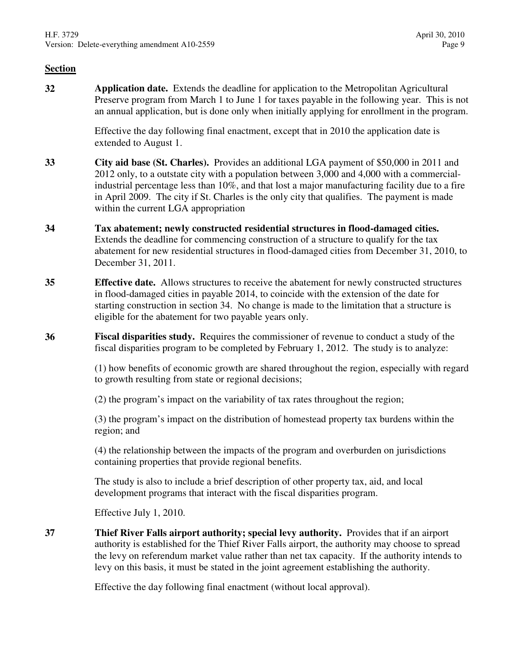**32 Application date.** Extends the deadline for application to the Metropolitan Agricultural Preserve program from March 1 to June 1 for taxes payable in the following year. This is not an annual application, but is done only when initially applying for enrollment in the program.

> Effective the day following final enactment, except that in 2010 the application date is extended to August 1.

- **33 City aid base (St. Charles).** Provides an additional LGA payment of \$50,000 in 2011 and 2012 only, to a outstate city with a population between 3,000 and 4,000 with a commercialindustrial percentage less than 10%, and that lost a major manufacturing facility due to a fire in April 2009. The city if St. Charles is the only city that qualifies. The payment is made within the current LGA appropriation
- **34 Tax abatement; newly constructed residential structures in flood-damaged cities.** Extends the deadline for commencing construction of a structure to qualify for the tax abatement for new residential structures in flood-damaged cities from December 31, 2010, to December 31, 2011.
- **35 Effective date.** Allows structures to receive the abatement for newly constructed structures in flood-damaged cities in payable 2014, to coincide with the extension of the date for starting construction in section 34. No change is made to the limitation that a structure is eligible for the abatement for two payable years only.
- **36 Fiscal disparities study.** Requires the commissioner of revenue to conduct a study of the fiscal disparities program to be completed by February 1, 2012. The study is to analyze:

(1) how benefits of economic growth are shared throughout the region, especially with regard to growth resulting from state or regional decisions;

(2) the program's impact on the variability of tax rates throughout the region;

(3) the program's impact on the distribution of homestead property tax burdens within the region; and

(4) the relationship between the impacts of the program and overburden on jurisdictions containing properties that provide regional benefits.

The study is also to include a brief description of other property tax, aid, and local development programs that interact with the fiscal disparities program.

Effective July 1, 2010.

**37 Thief River Falls airport authority; special levy authority.** Provides that if an airport authority is established for the Thief River Falls airport, the authority may choose to spread the levy on referendum market value rather than net tax capacity. If the authority intends to levy on this basis, it must be stated in the joint agreement establishing the authority.

Effective the day following final enactment (without local approval).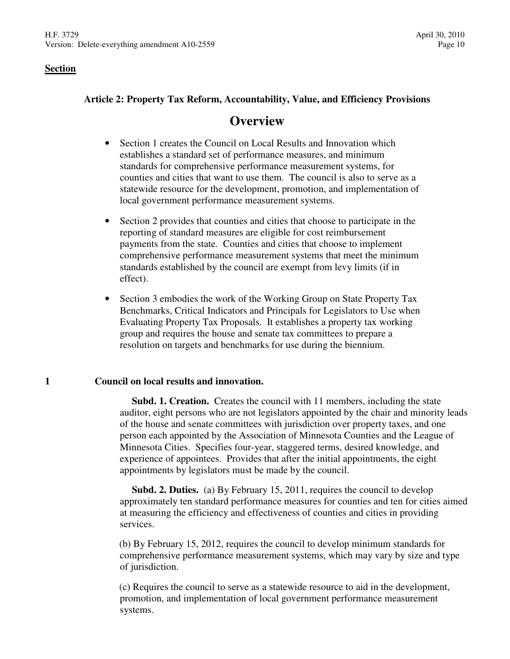# **Article 2: Property Tax Reform, Accountability, Value, and Efficiency Provisions**

# **Overview**

- Section 1 creates the Council on Local Results and Innovation which establishes a standard set of performance measures, and minimum standards for comprehensive performance measurement systems, for counties and cities that want to use them. The council is also to serve as a statewide resource for the development, promotion, and implementation of local government performance measurement systems.
- Section 2 provides that counties and cities that choose to participate in the reporting of standard measures are eligible for cost reimbursement payments from the state. Counties and cities that choose to implement comprehensive performance measurement systems that meet the minimum standards established by the council are exempt from levy limits (if in effect).
- Section 3 embodies the work of the Working Group on State Property Tax Benchmarks, Critical Indicators and Principals for Legislators to Use when Evaluating Property Tax Proposals. It establishes a property tax working group and requires the house and senate tax committees to prepare a resolution on targets and benchmarks for use during the biennium.

# **1 Council on local results and innovation.**

 **Subd. 1. Creation.** Creates the council with 11 members, including the state auditor, eight persons who are not legislators appointed by the chair and minority leads of the house and senate committees with jurisdiction over property taxes, and one person each appointed by the Association of Minnesota Counties and the League of Minnesota Cities. Specifies four-year, staggered terms, desired knowledge, and experience of appointees. Provides that after the initial appointments, the eight appointments by legislators must be made by the council.

 **Subd. 2. Duties.** (a) By February 15, 2011, requires the council to develop approximately ten standard performance measures for counties and ten for cities aimed at measuring the efficiency and effectiveness of counties and cities in providing services.

(b) By February 15, 2012, requires the council to develop minimum standards for comprehensive performance measurement systems, which may vary by size and type of jurisdiction.

(c) Requires the council to serve as a statewide resource to aid in the development, promotion, and implementation of local government performance measurement systems.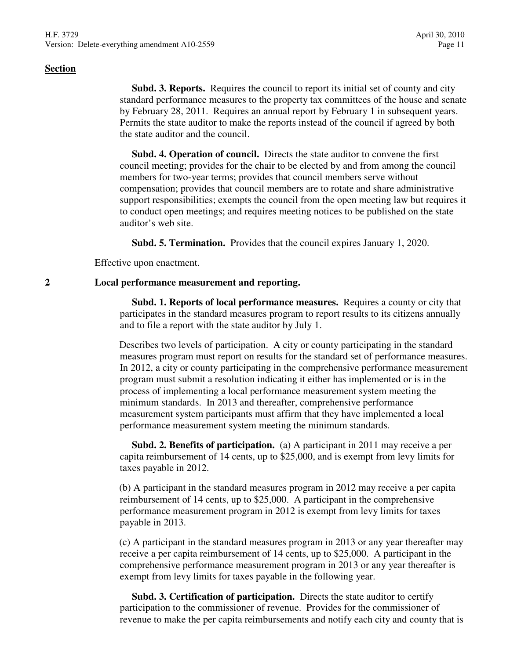**Subd. 3. Reports.** Requires the council to report its initial set of county and city standard performance measures to the property tax committees of the house and senate by February 28, 2011. Requires an annual report by February 1 in subsequent years. Permits the state auditor to make the reports instead of the council if agreed by both the state auditor and the council.

 **Subd. 4. Operation of council.** Directs the state auditor to convene the first council meeting; provides for the chair to be elected by and from among the council members for two-year terms; provides that council members serve without compensation; provides that council members are to rotate and share administrative support responsibilities; exempts the council from the open meeting law but requires it to conduct open meetings; and requires meeting notices to be published on the state auditor's web site.

**Subd. 5. Termination.** Provides that the council expires January 1, 2020.

Effective upon enactment.

#### **2 Local performance measurement and reporting.**

 **Subd. 1. Reports of local performance measures.** Requires a county or city that participates in the standard measures program to report results to its citizens annually and to file a report with the state auditor by July 1.

Describes two levels of participation. A city or county participating in the standard measures program must report on results for the standard set of performance measures. In 2012, a city or county participating in the comprehensive performance measurement program must submit a resolution indicating it either has implemented or is in the process of implementing a local performance measurement system meeting the minimum standards. In 2013 and thereafter, comprehensive performance measurement system participants must affirm that they have implemented a local performance measurement system meeting the minimum standards.

 **Subd. 2. Benefits of participation.** (a) A participant in 2011 may receive a per capita reimbursement of 14 cents, up to \$25,000, and is exempt from levy limits for taxes payable in 2012.

(b) A participant in the standard measures program in 2012 may receive a per capita reimbursement of 14 cents, up to \$25,000. A participant in the comprehensive performance measurement program in 2012 is exempt from levy limits for taxes payable in 2013.

(c) A participant in the standard measures program in 2013 or any year thereafter may receive a per capita reimbursement of 14 cents, up to \$25,000. A participant in the comprehensive performance measurement program in 2013 or any year thereafter is exempt from levy limits for taxes payable in the following year.

 **Subd. 3. Certification of participation.** Directs the state auditor to certify participation to the commissioner of revenue. Provides for the commissioner of revenue to make the per capita reimbursements and notify each city and county that is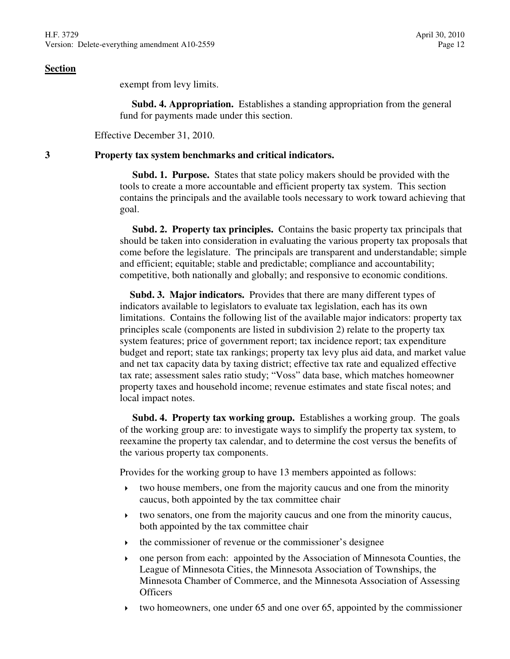exempt from levy limits.

 **Subd. 4. Appropriation.** Establishes a standing appropriation from the general fund for payments made under this section.

Effective December 31, 2010.

#### **3 Property tax system benchmarks and critical indicators.**

 **Subd. 1. Purpose.** States that state policy makers should be provided with the tools to create a more accountable and efficient property tax system. This section contains the principals and the available tools necessary to work toward achieving that goal.

 **Subd. 2. Property tax principles.** Contains the basic property tax principals that should be taken into consideration in evaluating the various property tax proposals that come before the legislature. The principals are transparent and understandable; simple and efficient; equitable; stable and predictable; compliance and accountability; competitive, both nationally and globally; and responsive to economic conditions.

 **Subd. 3. Major indicators.** Provides that there are many different types of indicators available to legislators to evaluate tax legislation, each has its own limitations. Contains the following list of the available major indicators: property tax principles scale (components are listed in subdivision 2) relate to the property tax system features; price of government report; tax incidence report; tax expenditure budget and report; state tax rankings; property tax levy plus aid data, and market value and net tax capacity data by taxing district; effective tax rate and equalized effective tax rate; assessment sales ratio study; "Voss" data base, which matches homeowner property taxes and household income; revenue estimates and state fiscal notes; and local impact notes.

 **Subd. 4. Property tax working group.** Establishes a working group. The goals of the working group are: to investigate ways to simplify the property tax system, to reexamine the property tax calendar, and to determine the cost versus the benefits of the various property tax components.

Provides for the working group to have 13 members appointed as follows:

- $\rightarrow$  two house members, one from the majority caucus and one from the minority caucus, both appointed by the tax committee chair
- two senators, one from the majority caucus and one from the minority caucus, both appointed by the tax committee chair
- $\cdot$  the commissioner of revenue or the commissioner's designee
- one person from each: appointed by the Association of Minnesota Counties, the League of Minnesota Cities, the Minnesota Association of Townships, the Minnesota Chamber of Commerce, and the Minnesota Association of Assessing **Officers**
- two homeowners, one under 65 and one over 65, appointed by the commissioner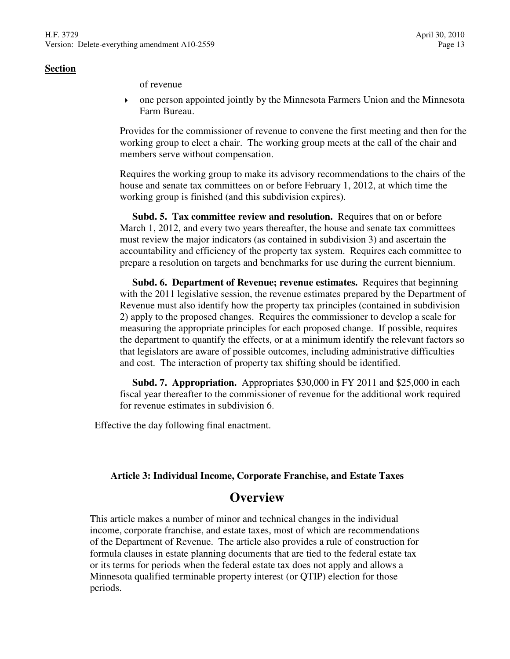of revenue

 one person appointed jointly by the Minnesota Farmers Union and the Minnesota Farm Bureau.

Provides for the commissioner of revenue to convene the first meeting and then for the working group to elect a chair. The working group meets at the call of the chair and members serve without compensation.

Requires the working group to make its advisory recommendations to the chairs of the house and senate tax committees on or before February 1, 2012, at which time the working group is finished (and this subdivision expires).

 **Subd. 5. Tax committee review and resolution.** Requires that on or before March 1, 2012, and every two years thereafter, the house and senate tax committees must review the major indicators (as contained in subdivision 3) and ascertain the accountability and efficiency of the property tax system. Requires each committee to prepare a resolution on targets and benchmarks for use during the current biennium.

 **Subd. 6. Department of Revenue; revenue estimates.** Requires that beginning with the 2011 legislative session, the revenue estimates prepared by the Department of Revenue must also identify how the property tax principles (contained in subdivision 2) apply to the proposed changes. Requires the commissioner to develop a scale for measuring the appropriate principles for each proposed change. If possible, requires the department to quantify the effects, or at a minimum identify the relevant factors so that legislators are aware of possible outcomes, including administrative difficulties and cost. The interaction of property tax shifting should be identified.

 **Subd. 7. Appropriation.** Appropriates \$30,000 in FY 2011 and \$25,000 in each fiscal year thereafter to the commissioner of revenue for the additional work required for revenue estimates in subdivision 6.

Effective the day following final enactment.

# **Article 3: Individual Income, Corporate Franchise, and Estate Taxes**

# **Overview**

This article makes a number of minor and technical changes in the individual income, corporate franchise, and estate taxes, most of which are recommendations of the Department of Revenue. The article also provides a rule of construction for formula clauses in estate planning documents that are tied to the federal estate tax or its terms for periods when the federal estate tax does not apply and allows a Minnesota qualified terminable property interest (or QTIP) election for those periods.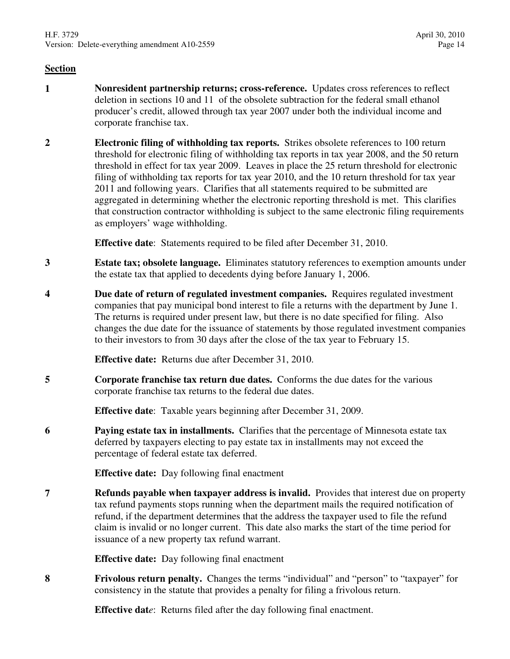- **1 Nonresident partnership returns; cross-reference.** Updates cross references to reflect deletion in sections 10 and 11 of the obsolete subtraction for the federal small ethanol producer's credit, allowed through tax year 2007 under both the individual income and corporate franchise tax.
- **2 Electronic filing of withholding tax reports.** Strikes obsolete references to 100 return threshold for electronic filing of withholding tax reports in tax year 2008, and the 50 return threshold in effect for tax year 2009. Leaves in place the 25 return threshold for electronic filing of withholding tax reports for tax year 2010, and the 10 return threshold for tax year 2011 and following years. Clarifies that all statements required to be submitted are aggregated in determining whether the electronic reporting threshold is met. This clarifies that construction contractor withholding is subject to the same electronic filing requirements as employers' wage withholding.

**Effective date**: Statements required to be filed after December 31, 2010.

- **3 Estate tax; obsolete language.** Eliminates statutory references to exemption amounts under the estate tax that applied to decedents dying before January 1, 2006.
- **4 Due date of return of regulated investment companies.** Requires regulated investment companies that pay municipal bond interest to file a returns with the department by June 1. The returns is required under present law, but there is no date specified for filing. Also changes the due date for the issuance of statements by those regulated investment companies to their investors to from 30 days after the close of the tax year to February 15.

**Effective date:** Returns due after December 31, 2010.

**5 Corporate franchise tax return due dates.** Conforms the due dates for the various corporate franchise tax returns to the federal due dates.

**Effective date**: Taxable years beginning after December 31, 2009.

**6 Paying estate tax in installments.** Clarifies that the percentage of Minnesota estate tax deferred by taxpayers electing to pay estate tax in installments may not exceed the percentage of federal estate tax deferred.

**Effective date:** Day following final enactment

**7 Refunds payable when taxpayer address is invalid.** Provides that interest due on property tax refund payments stops running when the department mails the required notification of refund, if the department determines that the address the taxpayer used to file the refund claim is invalid or no longer current. This date also marks the start of the time period for issuance of a new property tax refund warrant.

**Effective date:** Day following final enactment

**8 Frivolous return penalty.** Changes the terms "individual" and "person" to "taxpayer" for consistency in the statute that provides a penalty for filing a frivolous return.

**Effective dat***e*: Returns filed after the day following final enactment.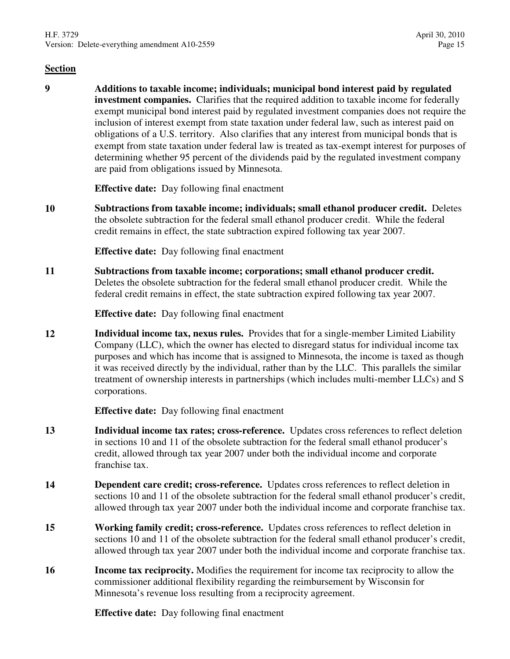**9 Additions to taxable income; individuals; municipal bond interest paid by regulated investment companies.** Clarifies that the required addition to taxable income for federally exempt municipal bond interest paid by regulated investment companies does not require the inclusion of interest exempt from state taxation under federal law, such as interest paid on obligations of a U.S. territory. Also clarifies that any interest from municipal bonds that is exempt from state taxation under federal law is treated as tax-exempt interest for purposes of determining whether 95 percent of the dividends paid by the regulated investment company are paid from obligations issued by Minnesota.

**Effective date:** Day following final enactment

**10 Subtractions from taxable income; individuals; small ethanol producer credit.** Deletes the obsolete subtraction for the federal small ethanol producer credit. While the federal credit remains in effect, the state subtraction expired following tax year 2007.

**Effective date:** Day following final enactment

**11 Subtractions from taxable income; corporations; small ethanol producer credit.** Deletes the obsolete subtraction for the federal small ethanol producer credit. While the federal credit remains in effect, the state subtraction expired following tax year 2007.

**Effective date:** Day following final enactment

**12 Individual income tax, nexus rules.** Provides that for a single-member Limited Liability Company (LLC), which the owner has elected to disregard status for individual income tax purposes and which has income that is assigned to Minnesota, the income is taxed as though it was received directly by the individual, rather than by the LLC. This parallels the similar treatment of ownership interests in partnerships (which includes multi-member LLCs) and S corporations.

**Effective date:** Day following final enactment

- **13 Individual income tax rates; cross-reference.** Updates cross references to reflect deletion in sections 10 and 11 of the obsolete subtraction for the federal small ethanol producer's credit, allowed through tax year 2007 under both the individual income and corporate franchise tax.
- **14 Dependent care credit; cross-reference.** Updates cross references to reflect deletion in sections 10 and 11 of the obsolete subtraction for the federal small ethanol producer's credit, allowed through tax year 2007 under both the individual income and corporate franchise tax.
- **15 Working family credit; cross-reference.** Updates cross references to reflect deletion in sections 10 and 11 of the obsolete subtraction for the federal small ethanol producer's credit, allowed through tax year 2007 under both the individual income and corporate franchise tax.
- **16 Income tax reciprocity.** Modifies the requirement for income tax reciprocity to allow the commissioner additional flexibility regarding the reimbursement by Wisconsin for Minnesota's revenue loss resulting from a reciprocity agreement.

**Effective date:** Day following final enactment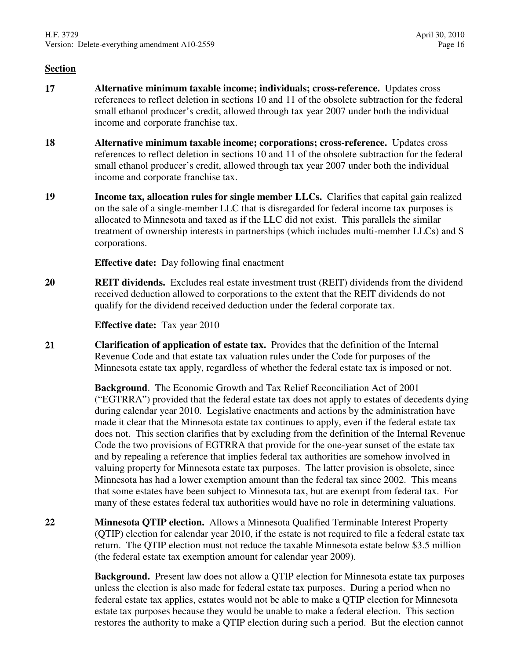- **17 Alternative minimum taxable income; individuals; cross-reference.** Updates cross references to reflect deletion in sections 10 and 11 of the obsolete subtraction for the federal small ethanol producer's credit, allowed through tax year 2007 under both the individual income and corporate franchise tax.
- **18 Alternative minimum taxable income; corporations; cross-reference.** Updates cross references to reflect deletion in sections 10 and 11 of the obsolete subtraction for the federal small ethanol producer's credit, allowed through tax year 2007 under both the individual income and corporate franchise tax.
- **19 Income tax, allocation rules for single member LLCs.** Clarifies that capital gain realized on the sale of a single-member LLC that is disregarded for federal income tax purposes is allocated to Minnesota and taxed as if the LLC did not exist. This parallels the similar treatment of ownership interests in partnerships (which includes multi-member LLCs) and S corporations.

**Effective date:** Day following final enactment

**20 REIT dividends.** Excludes real estate investment trust (REIT) dividends from the dividend received deduction allowed to corporations to the extent that the REIT dividends do not qualify for the dividend received deduction under the federal corporate tax.

**Effective date:** Tax year 2010

**21 Clarification of application of estate tax.** Provides that the definition of the Internal Revenue Code and that estate tax valuation rules under the Code for purposes of the Minnesota estate tax apply, regardless of whether the federal estate tax is imposed or not.

> **Background**. The Economic Growth and Tax Relief Reconciliation Act of 2001 ("EGTRRA") provided that the federal estate tax does not apply to estates of decedents dying during calendar year 2010. Legislative enactments and actions by the administration have made it clear that the Minnesota estate tax continues to apply, even if the federal estate tax does not. This section clarifies that by excluding from the definition of the Internal Revenue Code the two provisions of EGTRRA that provide for the one-year sunset of the estate tax and by repealing a reference that implies federal tax authorities are somehow involved in valuing property for Minnesota estate tax purposes. The latter provision is obsolete, since Minnesota has had a lower exemption amount than the federal tax since 2002. This means that some estates have been subject to Minnesota tax, but are exempt from federal tax. For many of these estates federal tax authorities would have no role in determining valuations.

**22 Minnesota QTIP election.** Allows a Minnesota Qualified Terminable Interest Property (QTIP) election for calendar year 2010, if the estate is not required to file a federal estate tax return. The QTIP election must not reduce the taxable Minnesota estate below \$3.5 million (the federal estate tax exemption amount for calendar year 2009).

> **Background.** Present law does not allow a QTIP election for Minnesota estate tax purposes unless the election is also made for federal estate tax purposes. During a period when no federal estate tax applies, estates would not be able to make a QTIP election for Minnesota estate tax purposes because they would be unable to make a federal election. This section restores the authority to make a QTIP election during such a period. But the election cannot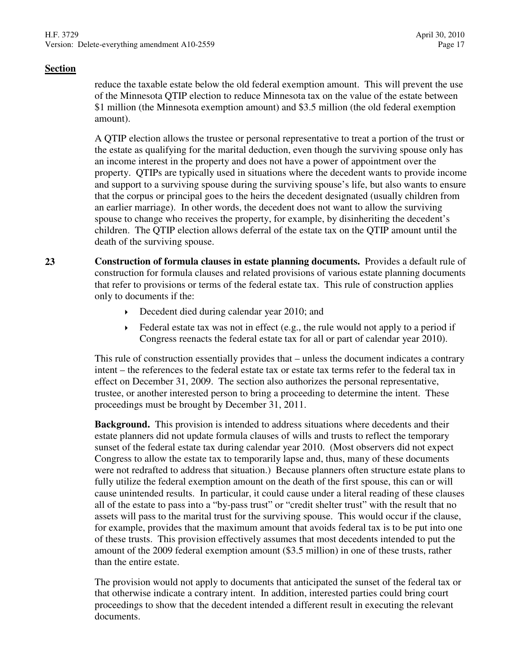reduce the taxable estate below the old federal exemption amount. This will prevent the use of the Minnesota QTIP election to reduce Minnesota tax on the value of the estate between \$1 million (the Minnesota exemption amount) and \$3.5 million (the old federal exemption amount).

A QTIP election allows the trustee or personal representative to treat a portion of the trust or the estate as qualifying for the marital deduction, even though the surviving spouse only has an income interest in the property and does not have a power of appointment over the property. QTIPs are typically used in situations where the decedent wants to provide income and support to a surviving spouse during the surviving spouse's life, but also wants to ensure that the corpus or principal goes to the heirs the decedent designated (usually children from an earlier marriage). In other words, the decedent does not want to allow the surviving spouse to change who receives the property, for example, by disinheriting the decedent's children. The QTIP election allows deferral of the estate tax on the QTIP amount until the death of the surviving spouse.

**23 Construction of formula clauses in estate planning documents.** Provides a default rule of construction for formula clauses and related provisions of various estate planning documents that refer to provisions or terms of the federal estate tax. This rule of construction applies only to documents if the:

- Decedent died during calendar year 2010; and
- $\rightarrow$  Federal estate tax was not in effect (e.g., the rule would not apply to a period if Congress reenacts the federal estate tax for all or part of calendar year 2010).

This rule of construction essentially provides that – unless the document indicates a contrary intent – the references to the federal estate tax or estate tax terms refer to the federal tax in effect on December 31, 2009. The section also authorizes the personal representative, trustee, or another interested person to bring a proceeding to determine the intent. These proceedings must be brought by December 31, 2011.

**Background.** This provision is intended to address situations where decedents and their estate planners did not update formula clauses of wills and trusts to reflect the temporary sunset of the federal estate tax during calendar year 2010. (Most observers did not expect Congress to allow the estate tax to temporarily lapse and, thus, many of these documents were not redrafted to address that situation.) Because planners often structure estate plans to fully utilize the federal exemption amount on the death of the first spouse, this can or will cause unintended results. In particular, it could cause under a literal reading of these clauses all of the estate to pass into a "by-pass trust" or "credit shelter trust" with the result that no assets will pass to the marital trust for the surviving spouse. This would occur if the clause, for example, provides that the maximum amount that avoids federal tax is to be put into one of these trusts. This provision effectively assumes that most decedents intended to put the amount of the 2009 federal exemption amount (\$3.5 million) in one of these trusts, rather than the entire estate.

The provision would not apply to documents that anticipated the sunset of the federal tax or that otherwise indicate a contrary intent. In addition, interested parties could bring court proceedings to show that the decedent intended a different result in executing the relevant documents.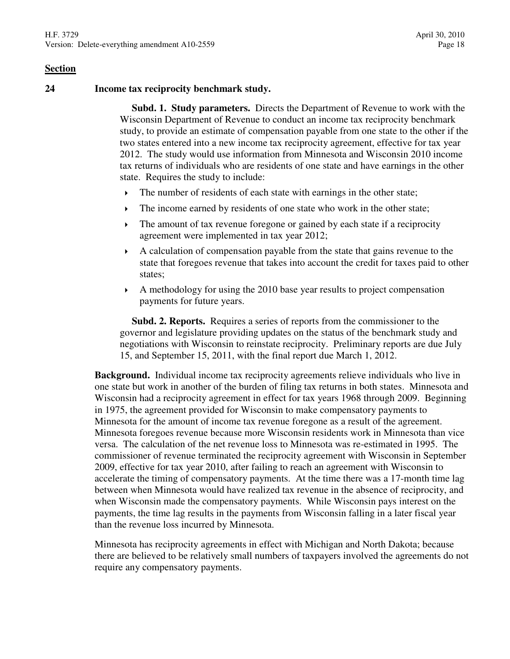#### **24 Income tax reciprocity benchmark study.**

 **Subd. 1. Study parameters.** Directs the Department of Revenue to work with the Wisconsin Department of Revenue to conduct an income tax reciprocity benchmark study, to provide an estimate of compensation payable from one state to the other if the two states entered into a new income tax reciprocity agreement, effective for tax year 2012. The study would use information from Minnesota and Wisconsin 2010 income tax returns of individuals who are residents of one state and have earnings in the other state. Requires the study to include:

- $\triangleright$  The number of residents of each state with earnings in the other state;
- The income earned by residents of one state who work in the other state;
- The amount of tax revenue foregone or gained by each state if a reciprocity agreement were implemented in tax year 2012;
- A calculation of compensation payable from the state that gains revenue to the state that foregoes revenue that takes into account the credit for taxes paid to other states;
- $\blacktriangleright$  A methodology for using the 2010 base year results to project compensation payments for future years.

 **Subd. 2. Reports.** Requires a series of reports from the commissioner to the governor and legislature providing updates on the status of the benchmark study and negotiations with Wisconsin to reinstate reciprocity. Preliminary reports are due July 15, and September 15, 2011, with the final report due March 1, 2012.

**Background.** Individual income tax reciprocity agreements relieve individuals who live in one state but work in another of the burden of filing tax returns in both states. Minnesota and Wisconsin had a reciprocity agreement in effect for tax years 1968 through 2009. Beginning in 1975, the agreement provided for Wisconsin to make compensatory payments to Minnesota for the amount of income tax revenue foregone as a result of the agreement. Minnesota foregoes revenue because more Wisconsin residents work in Minnesota than vice versa. The calculation of the net revenue loss to Minnesota was re-estimated in 1995. The commissioner of revenue terminated the reciprocity agreement with Wisconsin in September 2009, effective for tax year 2010, after failing to reach an agreement with Wisconsin to accelerate the timing of compensatory payments. At the time there was a 17-month time lag between when Minnesota would have realized tax revenue in the absence of reciprocity, and when Wisconsin made the compensatory payments. While Wisconsin pays interest on the payments, the time lag results in the payments from Wisconsin falling in a later fiscal year than the revenue loss incurred by Minnesota.

Minnesota has reciprocity agreements in effect with Michigan and North Dakota; because there are believed to be relatively small numbers of taxpayers involved the agreements do not require any compensatory payments.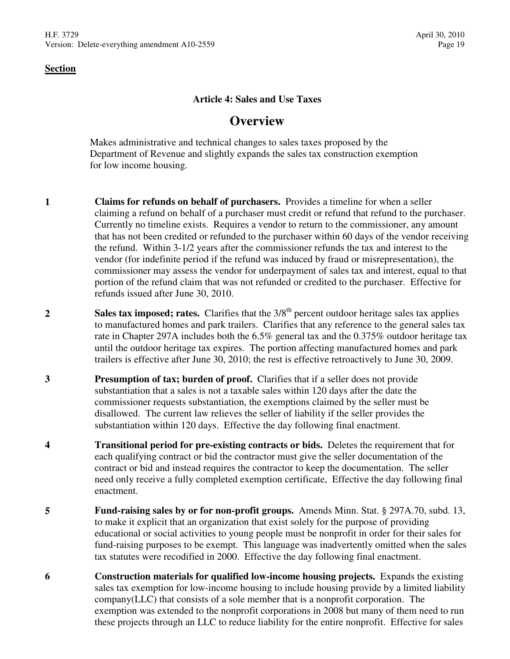#### **Article 4: Sales and Use Taxes**

# **Overview**

Makes administrative and technical changes to sales taxes proposed by the Department of Revenue and slightly expands the sales tax construction exemption for low income housing.

- **1 Claims for refunds on behalf of purchasers.** Provides a timeline for when a seller claiming a refund on behalf of a purchaser must credit or refund that refund to the purchaser. Currently no timeline exists. Requires a vendor to return to the commissioner, any amount that has not been credited or refunded to the purchaser within 60 days of the vendor receiving the refund. Within 3-1/2 years after the commissioner refunds the tax and interest to the vendor (for indefinite period if the refund was induced by fraud or misrepresentation), the commissioner may assess the vendor for underpayment of sales tax and interest, equal to that portion of the refund claim that was not refunded or credited to the purchaser. Effective for refunds issued after June 30, 2010.
- **2 Sales tax imposed; rates.** Clarifies that the 3/8<sup>th</sup> percent outdoor heritage sales tax applies to manufactured homes and park trailers. Clarifies that any reference to the general sales tax rate in Chapter 297A includes both the 6.5% general tax and the 0.375% outdoor heritage tax until the outdoor heritage tax expires. The portion affecting manufactured homes and park trailers is effective after June 30, 2010; the rest is effective retroactively to June 30, 2009.
- **3 Presumption of tax; burden of proof.** Clarifies that if a seller does not provide substantiation that a sales is not a taxable sales within 120 days after the date the commissioner requests substantiation, the exemptions claimed by the seller must be disallowed. The current law relieves the seller of liability if the seller provides the substantiation within 120 days. Effective the day following final enactment.
- **4 Transitional period for pre-existing contracts or bids.** Deletes the requirement that for each qualifying contract or bid the contractor must give the seller documentation of the contract or bid and instead requires the contractor to keep the documentation. The seller need only receive a fully completed exemption certificate, Effective the day following final enactment.
- **5 Fund-raising sales by or for non-profit groups.** Amends Minn. Stat. § 297A.70, subd. 13, to make it explicit that an organization that exist solely for the purpose of providing educational or social activities to young people must be nonprofit in order for their sales for fund-raising purposes to be exempt. This language was inadvertently omitted when the sales tax statutes were recodified in 2000. Effective the day following final enactment.
- **6 Construction materials for qualified low-income housing projects.** Expands the existing sales tax exemption for low-income housing to include housing provide by a limited liability company(LLC) that consists of a sole member that is a nonprofit corporation. The exemption was extended to the nonprofit corporations in 2008 but many of them need to run these projects through an LLC to reduce liability for the entire nonprofit. Effective for sales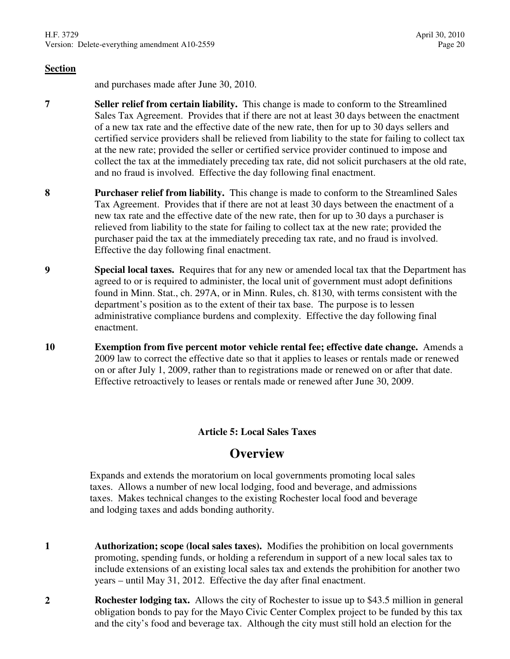and purchases made after June 30, 2010.

- **7 Seller relief from certain liability.** This change is made to conform to the Streamlined Sales Tax Agreement. Provides that if there are not at least 30 days between the enactment of a new tax rate and the effective date of the new rate, then for up to 30 days sellers and certified service providers shall be relieved from liability to the state for failing to collect tax at the new rate; provided the seller or certified service provider continued to impose and collect the tax at the immediately preceding tax rate, did not solicit purchasers at the old rate, and no fraud is involved. Effective the day following final enactment.
- **8 Purchaser relief from liability.** This change is made to conform to the Streamlined Sales Tax Agreement. Provides that if there are not at least 30 days between the enactment of a new tax rate and the effective date of the new rate, then for up to 30 days a purchaser is relieved from liability to the state for failing to collect tax at the new rate; provided the purchaser paid the tax at the immediately preceding tax rate, and no fraud is involved. Effective the day following final enactment.
- **9 Special local taxes.** Requires that for any new or amended local tax that the Department has agreed to or is required to administer, the local unit of government must adopt definitions found in Minn. Stat., ch. 297A, or in Minn. Rules, ch. 8130, with terms consistent with the department's position as to the extent of their tax base. The purpose is to lessen administrative compliance burdens and complexity. Effective the day following final enactment.
- **10 Exemption from five percent motor vehicle rental fee; effective date change.** Amends a 2009 law to correct the effective date so that it applies to leases or rentals made or renewed on or after July 1, 2009, rather than to registrations made or renewed on or after that date. Effective retroactively to leases or rentals made or renewed after June 30, 2009.

# **Article 5: Local Sales Taxes**

# **Overview**

Expands and extends the moratorium on local governments promoting local sales taxes. Allows a number of new local lodging, food and beverage, and admissions taxes. Makes technical changes to the existing Rochester local food and beverage and lodging taxes and adds bonding authority.

- **1 Authorization; scope (local sales taxes).** Modifies the prohibition on local governments promoting, spending funds, or holding a referendum in support of a new local sales tax to include extensions of an existing local sales tax and extends the prohibition for another two years – until May 31, 2012. Effective the day after final enactment.
- **2 Rochester lodging tax.** Allows the city of Rochester to issue up to \$43.5 million in general obligation bonds to pay for the Mayo Civic Center Complex project to be funded by this tax and the city's food and beverage tax. Although the city must still hold an election for the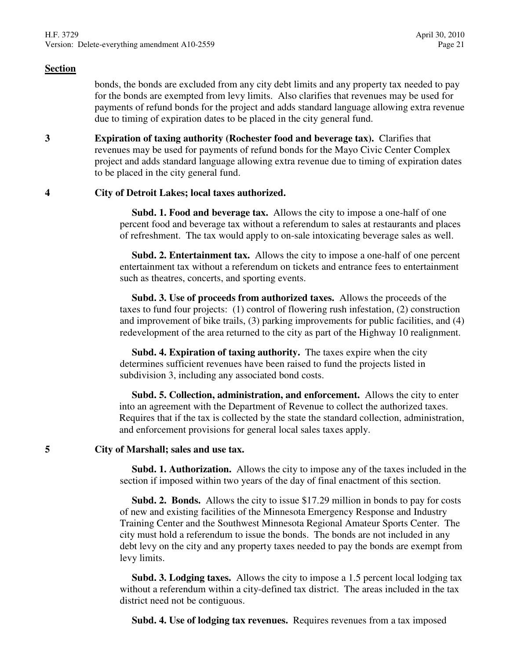bonds, the bonds are excluded from any city debt limits and any property tax needed to pay for the bonds are exempted from levy limits. Also clarifies that revenues may be used for payments of refund bonds for the project and adds standard language allowing extra revenue due to timing of expiration dates to be placed in the city general fund.

**3 Expiration of taxing authority (Rochester food and beverage tax).** Clarifies that revenues may be used for payments of refund bonds for the Mayo Civic Center Complex project and adds standard language allowing extra revenue due to timing of expiration dates to be placed in the city general fund.

#### **4 City of Detroit Lakes; local taxes authorized.**

 **Subd. 1. Food and beverage tax.** Allows the city to impose a one-half of one percent food and beverage tax without a referendum to sales at restaurants and places of refreshment. The tax would apply to on-sale intoxicating beverage sales as well.

 **Subd. 2. Entertainment tax.** Allows the city to impose a one-half of one percent entertainment tax without a referendum on tickets and entrance fees to entertainment such as theatres, concerts, and sporting events.

 **Subd. 3. Use of proceeds from authorized taxes.** Allows the proceeds of the taxes to fund four projects: (1) control of flowering rush infestation, (2) construction and improvement of bike trails, (3) parking improvements for public facilities, and (4) redevelopment of the area returned to the city as part of the Highway 10 realignment.

 **Subd. 4. Expiration of taxing authority.** The taxes expire when the city determines sufficient revenues have been raised to fund the projects listed in subdivision 3, including any associated bond costs.

 **Subd. 5. Collection, administration, and enforcement.** Allows the city to enter into an agreement with the Department of Revenue to collect the authorized taxes. Requires that if the tax is collected by the state the standard collection, administration, and enforcement provisions for general local sales taxes apply.

#### **5 City of Marshall; sales and use tax.**

 **Subd. 1. Authorization.** Allows the city to impose any of the taxes included in the section if imposed within two years of the day of final enactment of this section.

 **Subd. 2. Bonds.** Allows the city to issue \$17.29 million in bonds to pay for costs of new and existing facilities of the Minnesota Emergency Response and Industry Training Center and the Southwest Minnesota Regional Amateur Sports Center. The city must hold a referendum to issue the bonds. The bonds are not included in any debt levy on the city and any property taxes needed to pay the bonds are exempt from levy limits.

 **Subd. 3. Lodging taxes.** Allows the city to impose a 1.5 percent local lodging tax without a referendum within a city-defined tax district. The areas included in the tax district need not be contiguous.

**Subd. 4. Use of lodging tax revenues.** Requires revenues from a tax imposed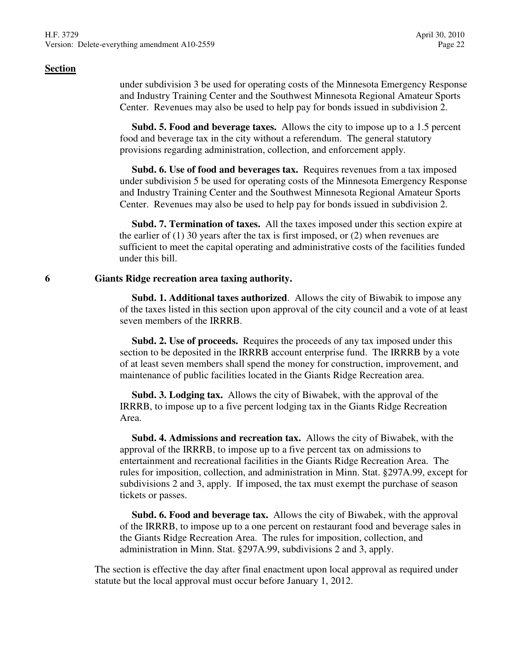under subdivision 3 be used for operating costs of the Minnesota Emergency Response and Industry Training Center and the Southwest Minnesota Regional Amateur Sports Center. Revenues may also be used to help pay for bonds issued in subdivision 2.

 **Subd. 5. Food and beverage taxes.** Allows the city to impose up to a 1.5 percent food and beverage tax in the city without a referendum. The general statutory provisions regarding administration, collection, and enforcement apply.

 **Subd. 6. Use of food and beverages tax.** Requires revenues from a tax imposed under subdivision 5 be used for operating costs of the Minnesota Emergency Response and Industry Training Center and the Southwest Minnesota Regional Amateur Sports Center. Revenues may also be used to help pay for bonds issued in subdivision 2.

 **Subd. 7. Termination of taxes.** All the taxes imposed under this section expire at the earlier of (1) 30 years after the tax is first imposed, or (2) when revenues are sufficient to meet the capital operating and administrative costs of the facilities funded under this bill.

#### **6 Giants Ridge recreation area taxing authority.**

 **Subd. 1. Additional taxes authorized**. Allows the city of Biwabik to impose any of the taxes listed in this section upon approval of the city council and a vote of at least seven members of the IRRRB.

 **Subd. 2. Use of proceeds.** Requires the proceeds of any tax imposed under this section to be deposited in the IRRRB account enterprise fund. The IRRRB by a vote of at least seven members shall spend the money for construction, improvement, and maintenance of public facilities located in the Giants Ridge Recreation area.

 **Subd. 3. Lodging tax.** Allows the city of Biwabek, with the approval of the IRRRB, to impose up to a five percent lodging tax in the Giants Ridge Recreation Area.

 **Subd. 4. Admissions and recreation tax.** Allows the city of Biwabek, with the approval of the IRRRB, to impose up to a five percent tax on admissions to entertainment and recreational facilities in the Giants Ridge Recreation Area. The rules for imposition, collection, and administration in Minn. Stat. §297A.99, except for subdivisions 2 and 3, apply. If imposed, the tax must exempt the purchase of season tickets or passes.

 **Subd. 6. Food and beverage tax.** Allows the city of Biwabek, with the approval of the IRRRB, to impose up to a one percent on restaurant food and beverage sales in the Giants Ridge Recreation Area. The rules for imposition, collection, and administration in Minn. Stat. §297A.99, subdivisions 2 and 3, apply.

The section is effective the day after final enactment upon local approval as required under statute but the local approval must occur before January 1, 2012.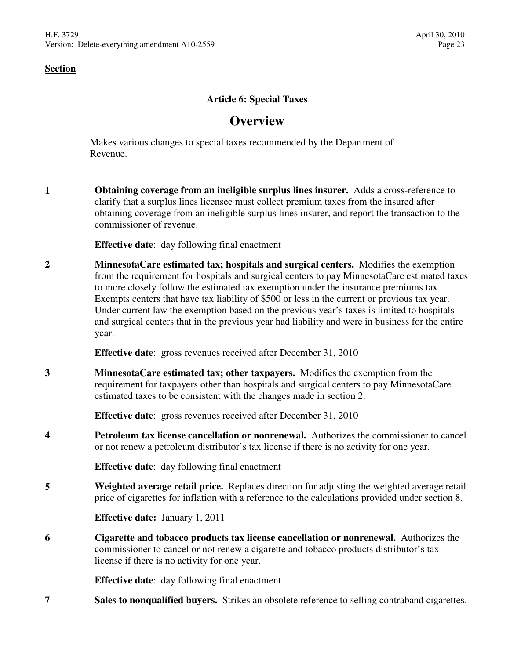# **Article 6: Special Taxes**

# **Overview**

Makes various changes to special taxes recommended by the Department of Revenue.

**1 Obtaining coverage from an ineligible surplus lines insurer.** Adds a cross-reference to clarify that a surplus lines licensee must collect premium taxes from the insured after obtaining coverage from an ineligible surplus lines insurer, and report the transaction to the commissioner of revenue.

**Effective date**: day following final enactment

**2 MinnesotaCare estimated tax; hospitals and surgical centers.** Modifies the exemption from the requirement for hospitals and surgical centers to pay MinnesotaCare estimated taxes to more closely follow the estimated tax exemption under the insurance premiums tax. Exempts centers that have tax liability of \$500 or less in the current or previous tax year. Under current law the exemption based on the previous year's taxes is limited to hospitals and surgical centers that in the previous year had liability and were in business for the entire year.

**Effective date**: gross revenues received after December 31, 2010

**3 MinnesotaCare estimated tax; other taxpayers.** Modifies the exemption from the requirement for taxpayers other than hospitals and surgical centers to pay MinnesotaCare estimated taxes to be consistent with the changes made in section 2.

**Effective date**: gross revenues received after December 31, 2010

**4 Petroleum tax license cancellation or nonrenewal.** Authorizes the commissioner to cancel or not renew a petroleum distributor's tax license if there is no activity for one year.

**Effective date**: day following final enactment

**5 Weighted average retail price.** Replaces direction for adjusting the weighted average retail price of cigarettes for inflation with a reference to the calculations provided under section 8.

**Effective date:** January 1, 2011

**6 Cigarette and tobacco products tax license cancellation or nonrenewal.** Authorizes the commissioner to cancel or not renew a cigarette and tobacco products distributor's tax license if there is no activity for one year.

**Effective date**: day following final enactment

**7 Sales to nonqualified buyers.** Strikes an obsolete reference to selling contraband cigarettes.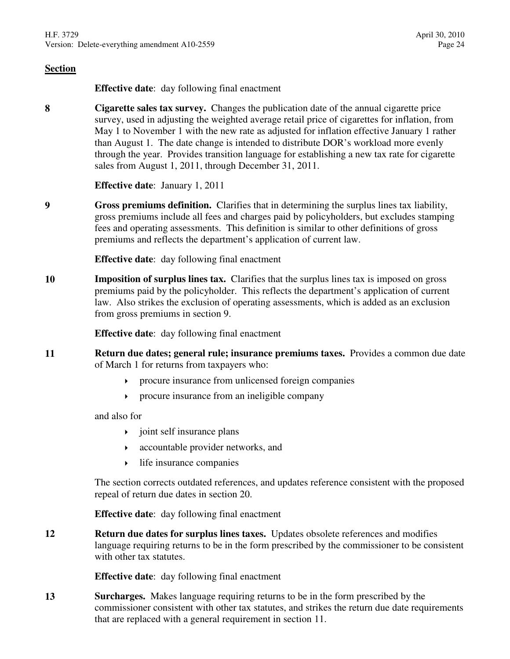**Effective date**: day following final enactment

**8 Cigarette sales tax survey.** Changes the publication date of the annual cigarette price survey, used in adjusting the weighted average retail price of cigarettes for inflation, from May 1 to November 1 with the new rate as adjusted for inflation effective January 1 rather than August 1. The date change is intended to distribute DOR's workload more evenly through the year. Provides transition language for establishing a new tax rate for cigarette sales from August 1, 2011, through December 31, 2011.

**Effective date**: January 1, 2011

**9 Gross premiums definition.** Clarifies that in determining the surplus lines tax liability, gross premiums include all fees and charges paid by policyholders, but excludes stamping fees and operating assessments. This definition is similar to other definitions of gross premiums and reflects the department's application of current law.

**Effective date**: day following final enactment

**10 Imposition of surplus lines tax.** Clarifies that the surplus lines tax is imposed on gross premiums paid by the policyholder. This reflects the department's application of current law. Also strikes the exclusion of operating assessments, which is added as an exclusion from gross premiums in section 9.

**Effective date**: day following final enactment

- **11 Return due dates; general rule; insurance premiums taxes.** Provides a common due date of March 1 for returns from taxpayers who:
	- procure insurance from unlicensed foreign companies
	- procure insurance from an ineligible company

and also for

- $\rightarrow$  joint self insurance plans
- accountable provider networks, and
- $\rightarrow$  life insurance companies

The section corrects outdated references, and updates reference consistent with the proposed repeal of return due dates in section 20.

**Effective date**: day following final enactment

**12 Return due dates for surplus lines taxes.** Updates obsolete references and modifies language requiring returns to be in the form prescribed by the commissioner to be consistent with other tax statutes.

**Effective date**: day following final enactment

**13 Surcharges.** Makes language requiring returns to be in the form prescribed by the commissioner consistent with other tax statutes, and strikes the return due date requirements that are replaced with a general requirement in section 11.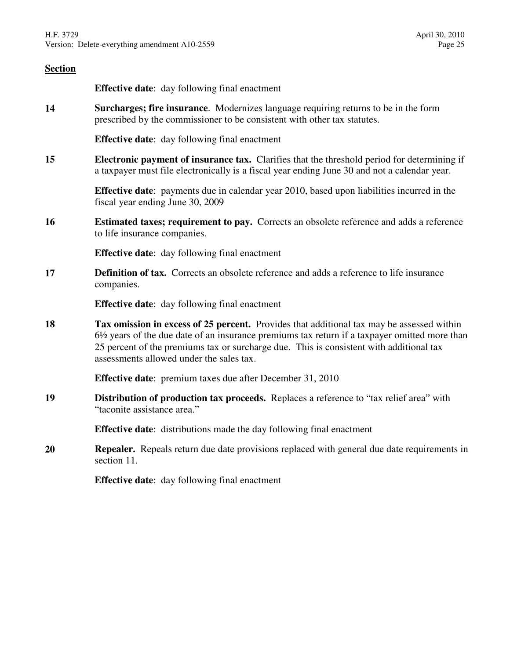| <b>Section</b> |                                                                                                                                                                                                                                                                                                                                              |
|----------------|----------------------------------------------------------------------------------------------------------------------------------------------------------------------------------------------------------------------------------------------------------------------------------------------------------------------------------------------|
|                | <b>Effective date:</b> day following final enactment                                                                                                                                                                                                                                                                                         |
| 14             | Surcharges; fire insurance. Modernizes language requiring returns to be in the form<br>prescribed by the commissioner to be consistent with other tax statutes.                                                                                                                                                                              |
|                | <b>Effective date:</b> day following final enactment                                                                                                                                                                                                                                                                                         |
| 15             | <b>Electronic payment of insurance tax.</b> Clarifies that the threshold period for determining if<br>a taxpayer must file electronically is a fiscal year ending June 30 and not a calendar year.                                                                                                                                           |
|                | <b>Effective date:</b> payments due in calendar year 2010, based upon liabilities incurred in the<br>fiscal year ending June 30, 2009                                                                                                                                                                                                        |
| <b>16</b>      | <b>Estimated taxes; requirement to pay.</b> Corrects an obsolete reference and adds a reference<br>to life insurance companies.                                                                                                                                                                                                              |
|                | <b>Effective date:</b> day following final enactment                                                                                                                                                                                                                                                                                         |
| 17             | <b>Definition of tax.</b> Corrects an obsolete reference and adds a reference to life insurance<br>companies.                                                                                                                                                                                                                                |
|                | <b>Effective date:</b> day following final enactment                                                                                                                                                                                                                                                                                         |
| 18             | Tax omission in excess of 25 percent. Provides that additional tax may be assessed within<br>$6\frac{1}{2}$ years of the due date of an insurance premiums tax return if a taxpayer omitted more than<br>25 percent of the premiums tax or surcharge due. This is consistent with additional tax<br>assessments allowed under the sales tax. |
|                | <b>Effective date:</b> premium taxes due after December 31, 2010                                                                                                                                                                                                                                                                             |
| 19             | Distribution of production tax proceeds. Replaces a reference to "tax relief area" with<br>"taconite assistance area."                                                                                                                                                                                                                       |
|                | <b>Effective date:</b> distributions made the day following final enactment                                                                                                                                                                                                                                                                  |
| 20             | <b>Repealer.</b> Repeals return due date provisions replaced with general due date requirements in<br>section 11.                                                                                                                                                                                                                            |
|                | <b>Effective date:</b> day following final enactment                                                                                                                                                                                                                                                                                         |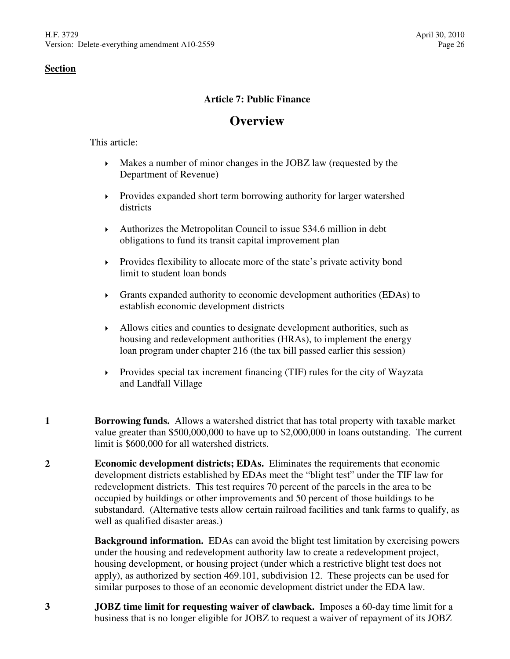# **Article 7: Public Finance**

# **Overview**

This article:

- Makes a number of minor changes in the JOBZ law (requested by the Department of Revenue)
- Provides expanded short term borrowing authority for larger watershed districts
- Authorizes the Metropolitan Council to issue \$34.6 million in debt obligations to fund its transit capital improvement plan
- Provides flexibility to allocate more of the state's private activity bond limit to student loan bonds
- Grants expanded authority to economic development authorities (EDAs) to establish economic development districts
- Allows cities and counties to designate development authorities, such as housing and redevelopment authorities (HRAs), to implement the energy loan program under chapter 216 (the tax bill passed earlier this session)
- $\triangleright$  Provides special tax increment financing (TIF) rules for the city of Wayzata and Landfall Village
- **1 Borrowing funds.** Allows a watershed district that has total property with taxable market value greater than \$500,000,000 to have up to \$2,000,000 in loans outstanding. The current limit is \$600,000 for all watershed districts.
- **2 Economic development districts; EDAs.** Eliminates the requirements that economic development districts established by EDAs meet the "blight test" under the TIF law for redevelopment districts. This test requires 70 percent of the parcels in the area to be occupied by buildings or other improvements and 50 percent of those buildings to be substandard. (Alternative tests allow certain railroad facilities and tank farms to qualify, as well as qualified disaster areas.)

**Background information.** EDAs can avoid the blight test limitation by exercising powers under the housing and redevelopment authority law to create a redevelopment project, housing development, or housing project (under which a restrictive blight test does not apply), as authorized by section 469.101, subdivision 12. These projects can be used for similar purposes to those of an economic development district under the EDA law.

**3 JOBZ time limit for requesting waiver of clawback.** Imposes a 60-day time limit for a business that is no longer eligible for JOBZ to request a waiver of repayment of its JOBZ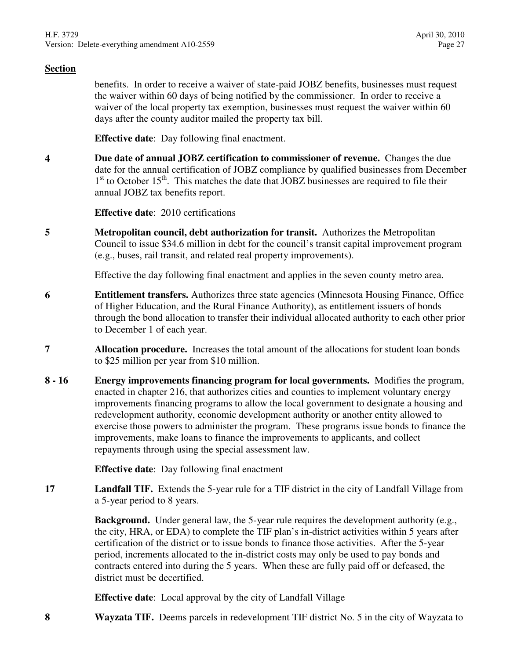benefits. In order to receive a waiver of state-paid JOBZ benefits, businesses must request the waiver within 60 days of being notified by the commissioner. In order to receive a waiver of the local property tax exemption, businesses must request the waiver within 60 days after the county auditor mailed the property tax bill.

**Effective date**: Day following final enactment.

**4 Due date of annual JOBZ certification to commissioner of revenue.** Changes the due date for the annual certification of JOBZ compliance by qualified businesses from December 1<sup>st</sup> to October 15<sup>th</sup>. This matches the date that JOBZ businesses are required to file their annual JOBZ tax benefits report.

**Effective date**: 2010 certifications

**5 Metropolitan council, debt authorization for transit.** Authorizes the Metropolitan Council to issue \$34.6 million in debt for the council's transit capital improvement program (e.g., buses, rail transit, and related real property improvements).

Effective the day following final enactment and applies in the seven county metro area.

- **6 Entitlement transfers.** Authorizes three state agencies (Minnesota Housing Finance, Office of Higher Education, and the Rural Finance Authority), as entitlement issuers of bonds through the bond allocation to transfer their individual allocated authority to each other prior to December 1 of each year.
- **7 Allocation procedure.** Increases the total amount of the allocations for student loan bonds to \$25 million per year from \$10 million.
- **8 16 Energy improvements financing program for local governments.** Modifies the program, enacted in chapter 216, that authorizes cities and counties to implement voluntary energy improvements financing programs to allow the local government to designate a housing and redevelopment authority, economic development authority or another entity allowed to exercise those powers to administer the program. These programs issue bonds to finance the improvements, make loans to finance the improvements to applicants, and collect repayments through using the special assessment law.

**Effective date**: Day following final enactment

**17 Landfall TIF.** Extends the 5-year rule for a TIF district in the city of Landfall Village from a 5-year period to 8 years.

> **Background.** Under general law, the 5-year rule requires the development authority (e.g., the city, HRA, or EDA) to complete the TIF plan's in-district activities within 5 years after certification of the district or to issue bonds to finance those activities. After the 5-year period, increments allocated to the in-district costs may only be used to pay bonds and contracts entered into during the 5 years. When these are fully paid off or defeased, the district must be decertified.

**Effective date**: Local approval by the city of Landfall Village

**8 Wayzata TIF.** Deems parcels in redevelopment TIF district No. 5 in the city of Wayzata to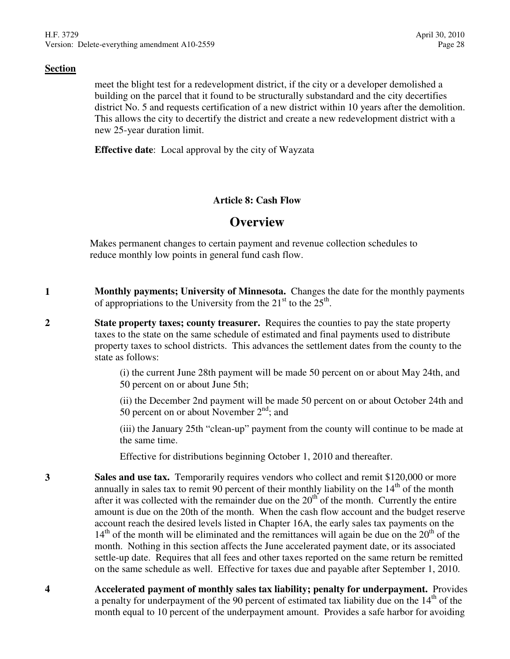meet the blight test for a redevelopment district, if the city or a developer demolished a building on the parcel that it found to be structurally substandard and the city decertifies district No. 5 and requests certification of a new district within 10 years after the demolition. This allows the city to decertify the district and create a new redevelopment district with a new 25-year duration limit.

**Effective date**: Local approval by the city of Wayzata

# **Article 8: Cash Flow**

# **Overview**

Makes permanent changes to certain payment and revenue collection schedules to reduce monthly low points in general fund cash flow.

- **1 Monthly payments; University of Minnesota.** Changes the date for the monthly payments of appropriations to the University from the  $21<sup>st</sup>$  to the  $25<sup>th</sup>$ .
- **2 State property taxes; county treasurer.** Requires the counties to pay the state property taxes to the state on the same schedule of estimated and final payments used to distribute property taxes to school districts. This advances the settlement dates from the county to the state as follows:

(i) the current June 28th payment will be made 50 percent on or about May 24th, and 50 percent on or about June 5th;

(ii) the December 2nd payment will be made 50 percent on or about October 24th and 50 percent on or about November  $2<sup>nd</sup>$ ; and

(iii) the January 25th "clean-up" payment from the county will continue to be made at the same time.

Effective for distributions beginning October 1, 2010 and thereafter.

- **3 Sales and use tax.** Temporarily requires vendors who collect and remit \$120,000 or more annually in sales tax to remit 90 percent of their monthly liability on the  $14<sup>th</sup>$  of the month after it was collected with the remainder due on the  $20<sup>th</sup>$  of the month. Currently the entire amount is due on the 20th of the month. When the cash flow account and the budget reserve account reach the desired levels listed in Chapter 16A, the early sales tax payments on the  $14<sup>th</sup>$  of the month will be eliminated and the remittances will again be due on the  $20<sup>th</sup>$  of the month. Nothing in this section affects the June accelerated payment date, or its associated settle-up date. Requires that all fees and other taxes reported on the same return be remitted on the same schedule as well. Effective for taxes due and payable after September 1, 2010.
- **4 Accelerated payment of monthly sales tax liability; penalty for underpayment.** Provides a penalty for underpayment of the 90 percent of estimated tax liability due on the  $14<sup>th</sup>$  of the month equal to 10 percent of the underpayment amount. Provides a safe harbor for avoiding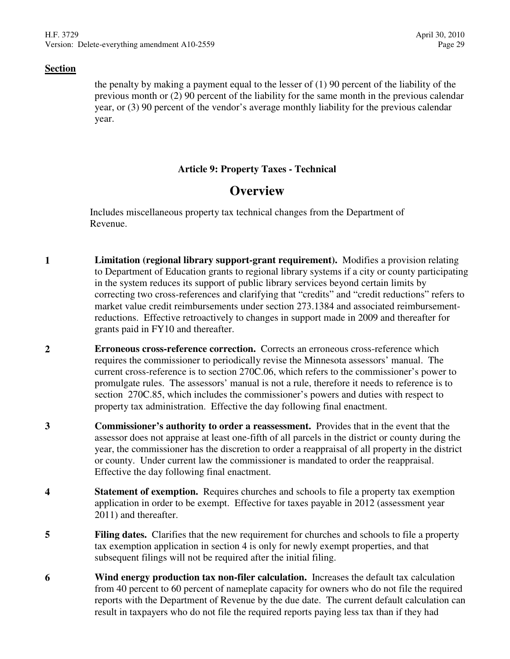the penalty by making a payment equal to the lesser of (1) 90 percent of the liability of the previous month or (2) 90 percent of the liability for the same month in the previous calendar year, or (3) 90 percent of the vendor's average monthly liability for the previous calendar year.

# **Article 9: Property Taxes - Technical**

# **Overview**

Includes miscellaneous property tax technical changes from the Department of Revenue.

- **1 Limitation (regional library support-grant requirement).** Modifies a provision relating to Department of Education grants to regional library systems if a city or county participating in the system reduces its support of public library services beyond certain limits by correcting two cross-references and clarifying that "credits" and "credit reductions" refers to market value credit reimbursements under section 273.1384 and associated reimbursementreductions. Effective retroactively to changes in support made in 2009 and thereafter for grants paid in FY10 and thereafter.
- **2 Erroneous cross-reference correction.** Corrects an erroneous cross-reference which requires the commissioner to periodically revise the Minnesota assessors' manual. The current cross-reference is to section 270C.06, which refers to the commissioner's power to promulgate rules. The assessors' manual is not a rule, therefore it needs to reference is to section 270C.85, which includes the commissioner's powers and duties with respect to property tax administration. Effective the day following final enactment.
- **3 Commissioner's authority to order a reassessment.** Provides that in the event that the assessor does not appraise at least one-fifth of all parcels in the district or county during the year, the commissioner has the discretion to order a reappraisal of all property in the district or county. Under current law the commissioner is mandated to order the reappraisal. Effective the day following final enactment.
- **4 Statement of exemption.** Requires churches and schools to file a property tax exemption application in order to be exempt. Effective for taxes payable in 2012 (assessment year 2011) and thereafter.
- **5 Filing dates.** Clarifies that the new requirement for churches and schools to file a property tax exemption application in section 4 is only for newly exempt properties, and that subsequent filings will not be required after the initial filing.
- **6 Wind energy production tax non-filer calculation.** Increases the default tax calculation from 40 percent to 60 percent of nameplate capacity for owners who do not file the required reports with the Department of Revenue by the due date. The current default calculation can result in taxpayers who do not file the required reports paying less tax than if they had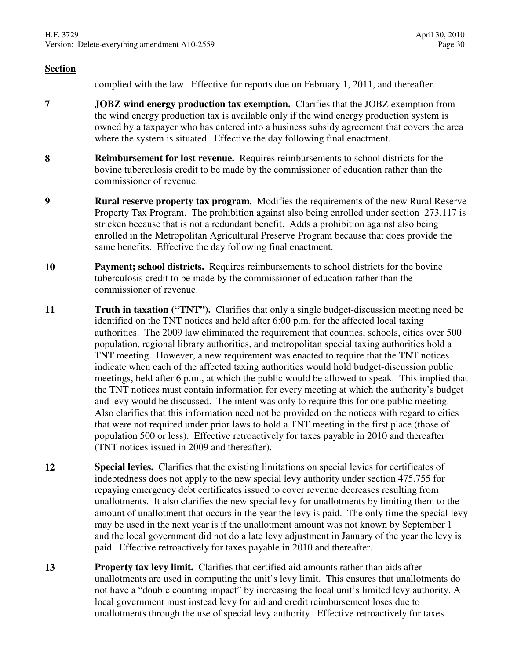complied with the law. Effective for reports due on February 1, 2011, and thereafter.

- **7 JOBZ wind energy production tax exemption.** Clarifies that the JOBZ exemption from the wind energy production tax is available only if the wind energy production system is owned by a taxpayer who has entered into a business subsidy agreement that covers the area where the system is situated. Effective the day following final enactment.
- **8 Reimbursement for lost revenue.** Requires reimbursements to school districts for the bovine tuberculosis credit to be made by the commissioner of education rather than the commissioner of revenue.
- **9 Rural reserve property tax program.** Modifies the requirements of the new Rural Reserve Property Tax Program. The prohibition against also being enrolled under section 273.117 is stricken because that is not a redundant benefit. Adds a prohibition against also being enrolled in the Metropolitan Agricultural Preserve Program because that does provide the same benefits. Effective the day following final enactment.
- **10 Payment; school districts.** Requires reimbursements to school districts for the bovine tuberculosis credit to be made by the commissioner of education rather than the commissioner of revenue.
- **11 Truth in taxation ("TNT").** Clarifies that only a single budget-discussion meeting need be identified on the TNT notices and held after 6:00 p.m. for the affected local taxing authorities. The 2009 law eliminated the requirement that counties, schools, cities over 500 population, regional library authorities, and metropolitan special taxing authorities hold a TNT meeting. However, a new requirement was enacted to require that the TNT notices indicate when each of the affected taxing authorities would hold budget-discussion public meetings, held after 6 p.m., at which the public would be allowed to speak. This implied that the TNT notices must contain information for every meeting at which the authority's budget and levy would be discussed. The intent was only to require this for one public meeting. Also clarifies that this information need not be provided on the notices with regard to cities that were not required under prior laws to hold a TNT meeting in the first place (those of population 500 or less). Effective retroactively for taxes payable in 2010 and thereafter (TNT notices issued in 2009 and thereafter).
- **12 Special levies.** Clarifies that the existing limitations on special levies for certificates of indebtedness does not apply to the new special levy authority under section 475.755 for repaying emergency debt certificates issued to cover revenue decreases resulting from unallotments. It also clarifies the new special levy for unallotments by limiting them to the amount of unallotment that occurs in the year the levy is paid. The only time the special levy may be used in the next year is if the unallotment amount was not known by September 1 and the local government did not do a late levy adjustment in January of the year the levy is paid. Effective retroactively for taxes payable in 2010 and thereafter.
- **13 Property tax levy limit.** Clarifies that certified aid amounts rather than aids after unallotments are used in computing the unit's levy limit. This ensures that unallotments do not have a "double counting impact" by increasing the local unit's limited levy authority. A local government must instead levy for aid and credit reimbursement loses due to unallotments through the use of special levy authority. Effective retroactively for taxes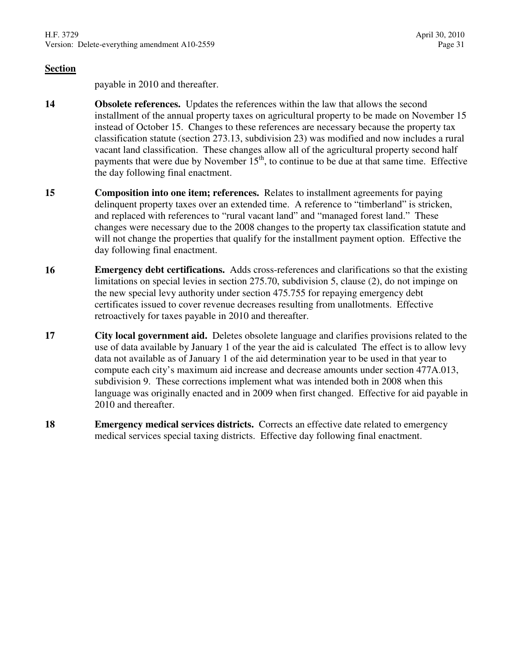payable in 2010 and thereafter.

- **14 Obsolete references.** Updates the references within the law that allows the second installment of the annual property taxes on agricultural property to be made on November 15 instead of October 15. Changes to these references are necessary because the property tax classification statute (section 273.13, subdivision 23) was modified and now includes a rural vacant land classification. These changes allow all of the agricultural property second half payments that were due by November  $15<sup>th</sup>$ , to continue to be due at that same time. Effective the day following final enactment.
- **15 Composition into one item; references.** Relates to installment agreements for paying delinquent property taxes over an extended time. A reference to "timberland" is stricken, and replaced with references to "rural vacant land" and "managed forest land." These changes were necessary due to the 2008 changes to the property tax classification statute and will not change the properties that qualify for the installment payment option. Effective the day following final enactment.
- **16 Emergency debt certifications.** Adds cross-references and clarifications so that the existing limitations on special levies in section 275.70, subdivision 5, clause (2), do not impinge on the new special levy authority under section 475.755 for repaying emergency debt certificates issued to cover revenue decreases resulting from unallotments. Effective retroactively for taxes payable in 2010 and thereafter.
- **17 City local government aid.** Deletes obsolete language and clarifies provisions related to the use of data available by January 1 of the year the aid is calculated The effect is to allow levy data not available as of January 1 of the aid determination year to be used in that year to compute each city's maximum aid increase and decrease amounts under section 477A.013, subdivision 9. These corrections implement what was intended both in 2008 when this language was originally enacted and in 2009 when first changed. Effective for aid payable in 2010 and thereafter.
- **18 Emergency medical services districts.** Corrects an effective date related to emergency medical services special taxing districts. Effective day following final enactment.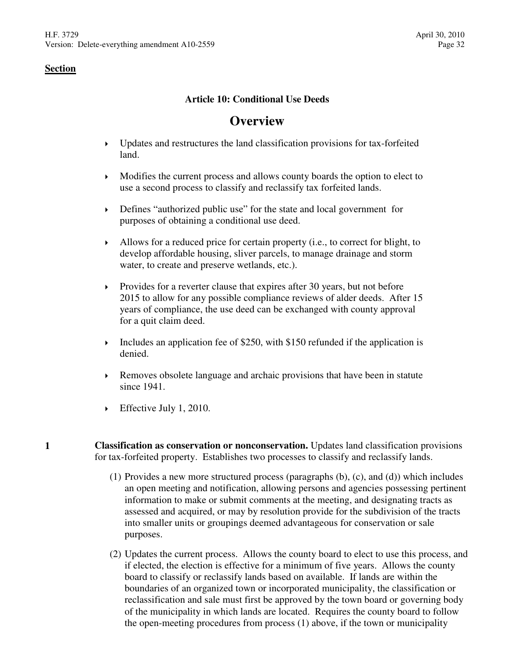# **Article 10: Conditional Use Deeds**

# **Overview**

- Updates and restructures the land classification provisions for tax-forfeited land.
- Modifies the current process and allows county boards the option to elect to use a second process to classify and reclassify tax forfeited lands.
- Defines "authorized public use" for the state and local government for purposes of obtaining a conditional use deed.
- Allows for a reduced price for certain property (i.e., to correct for blight, to develop affordable housing, sliver parcels, to manage drainage and storm water, to create and preserve wetlands, etc.).
- Provides for a reverter clause that expires after 30 years, but not before 2015 to allow for any possible compliance reviews of alder deeds. After 15 years of compliance, the use deed can be exchanged with county approval for a quit claim deed.
- Includes an application fee of \$250, with \$150 refunded if the application is denied.
- $\triangleright$  Removes obsolete language and archaic provisions that have been in statute since 1941.
- Effective July 1, 2010.
- **1 Classification as conservation or nonconservation.** Updates land classification provisions for tax-forfeited property. Establishes two processes to classify and reclassify lands.
	- (1) Provides a new more structured process (paragraphs (b), (c), and (d)) which includes an open meeting and notification, allowing persons and agencies possessing pertinent information to make or submit comments at the meeting, and designating tracts as assessed and acquired, or may by resolution provide for the subdivision of the tracts into smaller units or groupings deemed advantageous for conservation or sale purposes.
	- (2) Updates the current process. Allows the county board to elect to use this process, and if elected, the election is effective for a minimum of five years. Allows the county board to classify or reclassify lands based on available. If lands are within the boundaries of an organized town or incorporated municipality, the classification or reclassification and sale must first be approved by the town board or governing body of the municipality in which lands are located. Requires the county board to follow the open-meeting procedures from process (1) above, if the town or municipality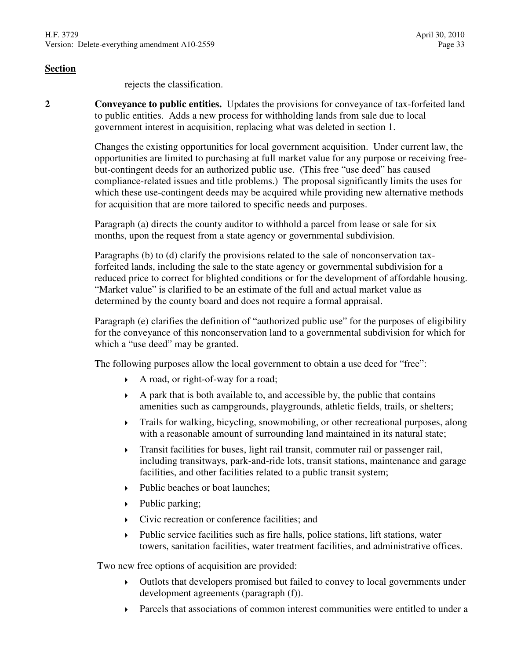rejects the classification.

**2 Conveyance to public entities.** Updates the provisions for conveyance of tax-forfeited land to public entities. Adds a new process for withholding lands from sale due to local government interest in acquisition, replacing what was deleted in section 1.

> Changes the existing opportunities for local government acquisition. Under current law, the opportunities are limited to purchasing at full market value for any purpose or receiving freebut-contingent deeds for an authorized public use. (This free "use deed" has caused compliance-related issues and title problems.) The proposal significantly limits the uses for which these use-contingent deeds may be acquired while providing new alternative methods for acquisition that are more tailored to specific needs and purposes.

Paragraph (a) directs the county auditor to withhold a parcel from lease or sale for six months, upon the request from a state agency or governmental subdivision.

Paragraphs (b) to (d) clarify the provisions related to the sale of nonconservation taxforfeited lands, including the sale to the state agency or governmental subdivision for a reduced price to correct for blighted conditions or for the development of affordable housing. "Market value" is clarified to be an estimate of the full and actual market value as determined by the county board and does not require a formal appraisal.

Paragraph (e) clarifies the definition of "authorized public use" for the purposes of eligibility for the conveyance of this nonconservation land to a governmental subdivision for which for which a "use deed" may be granted.

The following purposes allow the local government to obtain a use deed for "free":

- A road, or right-of-way for a road;
- $\rightarrow$  A park that is both available to, and accessible by, the public that contains amenities such as campgrounds, playgrounds, athletic fields, trails, or shelters;
- Trails for walking, bicycling, snowmobiling, or other recreational purposes, along with a reasonable amount of surrounding land maintained in its natural state;
- Transit facilities for buses, light rail transit, commuter rail or passenger rail, including transitways, park-and-ride lots, transit stations, maintenance and garage facilities, and other facilities related to a public transit system;
- Public beaches or boat launches;
- Public parking;
- Civic recreation or conference facilities; and
- Public service facilities such as fire halls, police stations, lift stations, water towers, sanitation facilities, water treatment facilities, and administrative offices.

Two new free options of acquisition are provided:

- Outlots that developers promised but failed to convey to local governments under development agreements (paragraph (f)).
- Parcels that associations of common interest communities were entitled to under a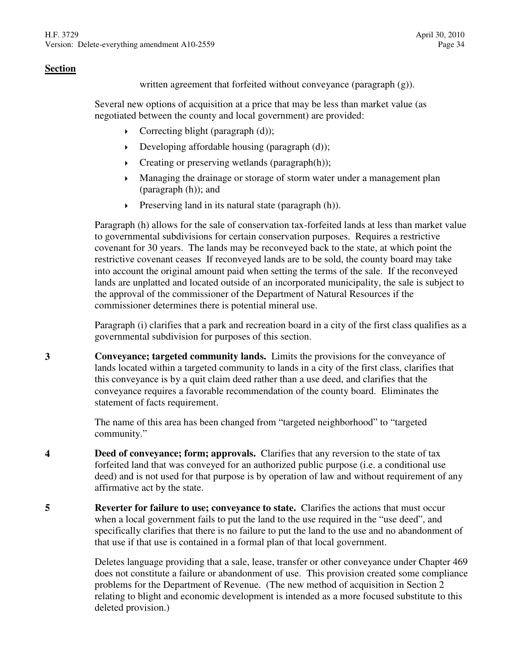written agreement that forfeited without conveyance (paragraph  $(g)$ ).

Several new options of acquisition at a price that may be less than market value (as negotiated between the county and local government) are provided:

- $\triangleright$  Correcting blight (paragraph (d));
- $\rightarrow$  Developing affordable housing (paragraph (d));
- $\triangleright$  Creating or preserving wetlands (paragraph(h));
- Managing the drainage or storage of storm water under a management plan (paragraph (h)); and
- $\triangleright$  Preserving land in its natural state (paragraph (h)).

Paragraph (h) allows for the sale of conservation tax-forfeited lands at less than market value to governmental subdivisions for certain conservation purposes. Requires a restrictive covenant for 30 years. The lands may be reconveyed back to the state, at which point the restrictive covenant ceases If reconveyed lands are to be sold, the county board may take into account the original amount paid when setting the terms of the sale. If the reconveyed lands are unplatted and located outside of an incorporated municipality, the sale is subject to the approval of the commissioner of the Department of Natural Resources if the commissioner determines there is potential mineral use.

Paragraph (i) clarifies that a park and recreation board in a city of the first class qualifies as a governmental subdivision for purposes of this section.

**3 Conveyance; targeted community lands.** Limits the provisions for the conveyance of lands located within a targeted community to lands in a city of the first class, clarifies that this conveyance is by a quit claim deed rather than a use deed, and clarifies that the conveyance requires a favorable recommendation of the county board. Eliminates the statement of facts requirement.

> The name of this area has been changed from "targeted neighborhood" to "targeted community."

- **4 Deed of conveyance; form; approvals.** Clarifies that any reversion to the state of tax forfeited land that was conveyed for an authorized public purpose (i.e. a conditional use deed) and is not used for that purpose is by operation of law and without requirement of any affirmative act by the state.
- **5 Reverter for failure to use; conveyance to state.** Clarifies the actions that must occur when a local government fails to put the land to the use required in the "use deed", and specifically clarifies that there is no failure to put the land to the use and no abandonment of that use if that use is contained in a formal plan of that local government.

Deletes language providing that a sale, lease, transfer or other conveyance under Chapter 469 does not constitute a failure or abandonment of use. This provision created some compliance problems for the Department of Revenue. (The new method of acquisition in Section 2 relating to blight and economic development is intended as a more focused substitute to this deleted provision.)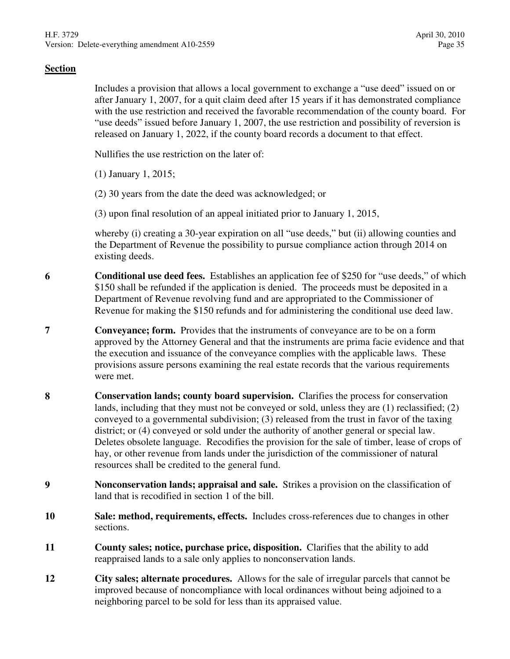Includes a provision that allows a local government to exchange a "use deed" issued on or after January 1, 2007, for a quit claim deed after 15 years if it has demonstrated compliance with the use restriction and received the favorable recommendation of the county board. For "use deeds" issued before January 1, 2007, the use restriction and possibility of reversion is released on January 1, 2022, if the county board records a document to that effect.

Nullifies the use restriction on the later of:

- (1) January 1, 2015;
- (2) 30 years from the date the deed was acknowledged; or
- (3) upon final resolution of an appeal initiated prior to January 1, 2015,

whereby (i) creating a 30-year expiration on all "use deeds," but (ii) allowing counties and the Department of Revenue the possibility to pursue compliance action through 2014 on existing deeds.

- **6 Conditional use deed fees.** Establishes an application fee of \$250 for "use deeds," of which \$150 shall be refunded if the application is denied. The proceeds must be deposited in a Department of Revenue revolving fund and are appropriated to the Commissioner of Revenue for making the \$150 refunds and for administering the conditional use deed law.
- **7 Conveyance; form.** Provides that the instruments of conveyance are to be on a form approved by the Attorney General and that the instruments are prima facie evidence and that the execution and issuance of the conveyance complies with the applicable laws. These provisions assure persons examining the real estate records that the various requirements were met.
- **8 Conservation lands; county board supervision.** Clarifies the process for conservation lands, including that they must not be conveyed or sold, unless they are (1) reclassified; (2) conveyed to a governmental subdivision; (3) released from the trust in favor of the taxing district; or (4) conveyed or sold under the authority of another general or special law. Deletes obsolete language. Recodifies the provision for the sale of timber, lease of crops of hay, or other revenue from lands under the jurisdiction of the commissioner of natural resources shall be credited to the general fund.
- **9 Nonconservation lands; appraisal and sale.** Strikes a provision on the classification of land that is recodified in section 1 of the bill.
- **10 Sale: method, requirements, effects.** Includes cross-references due to changes in other sections.
- **11 County sales; notice, purchase price, disposition.** Clarifies that the ability to add reappraised lands to a sale only applies to nonconservation lands.
- **12 City sales; alternate procedures.** Allows for the sale of irregular parcels that cannot be improved because of noncompliance with local ordinances without being adjoined to a neighboring parcel to be sold for less than its appraised value.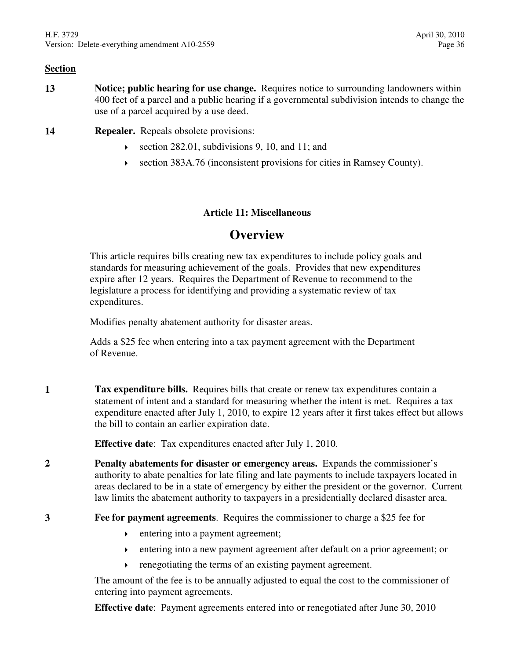- **13 Notice; public hearing for use change.** Requires notice to surrounding landowners within 400 feet of a parcel and a public hearing if a governmental subdivision intends to change the use of a parcel acquired by a use deed.
- **14 Repealer.** Repeals obsolete provisions:
	- section 282.01, subdivisions 9, 10, and 11; and
	- section 383A.76 (inconsistent provisions for cities in Ramsey County).

# **Article 11: Miscellaneous**

# **Overview**

This article requires bills creating new tax expenditures to include policy goals and standards for measuring achievement of the goals. Provides that new expenditures expire after 12 years. Requires the Department of Revenue to recommend to the legislature a process for identifying and providing a systematic review of tax expenditures.

Modifies penalty abatement authority for disaster areas.

Adds a \$25 fee when entering into a tax payment agreement with the Department of Revenue.

**1 Tax expenditure bills.** Requires bills that create or renew tax expenditures contain a statement of intent and a standard for measuring whether the intent is met. Requires a tax expenditure enacted after July 1, 2010, to expire 12 years after it first takes effect but allows the bill to contain an earlier expiration date.

**Effective date**: Tax expenditures enacted after July 1, 2010.

- **2 Penalty abatements for disaster or emergency areas.** Expands the commissioner's authority to abate penalties for late filing and late payments to include taxpayers located in areas declared to be in a state of emergency by either the president or the governor. Current law limits the abatement authority to taxpayers in a presidentially declared disaster area.
- **3 Fee for payment agreements**. Requires the commissioner to charge a \$25 fee for
	- $\rightarrow$  entering into a payment agreement;
	- entering into a new payment agreement after default on a prior agreement; or
	- renegotiating the terms of an existing payment agreement.

The amount of the fee is to be annually adjusted to equal the cost to the commissioner of entering into payment agreements.

**Effective date**: Payment agreements entered into or renegotiated after June 30, 2010